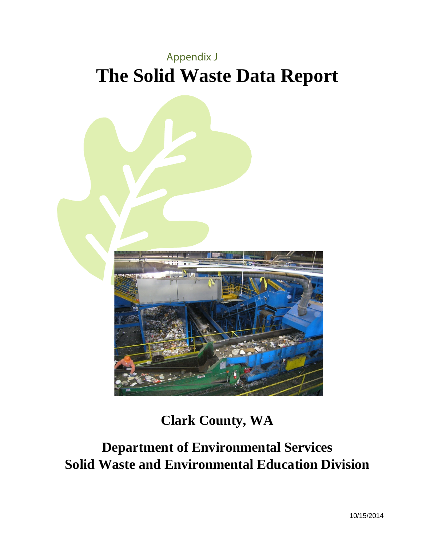



**Clark County, WA**

**Department of Environmental Services Solid Waste and Environmental Education Division**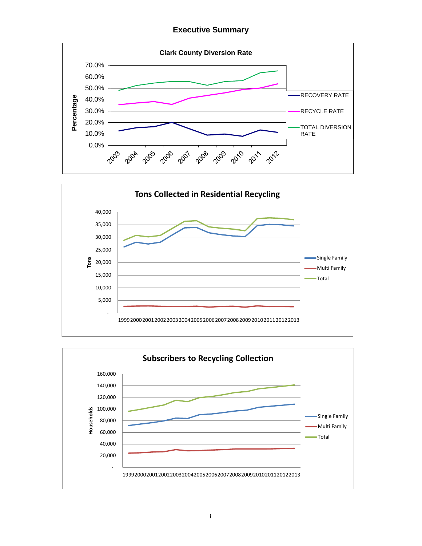**Executive Summary** 





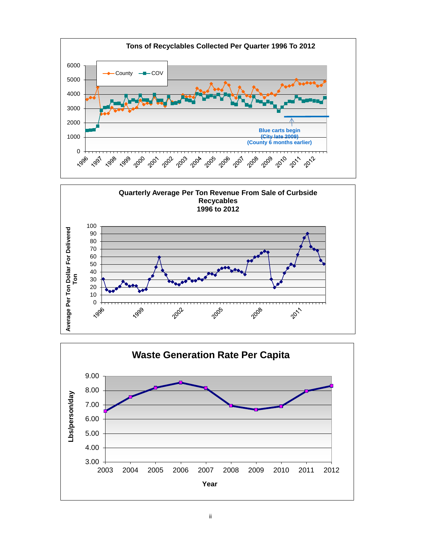



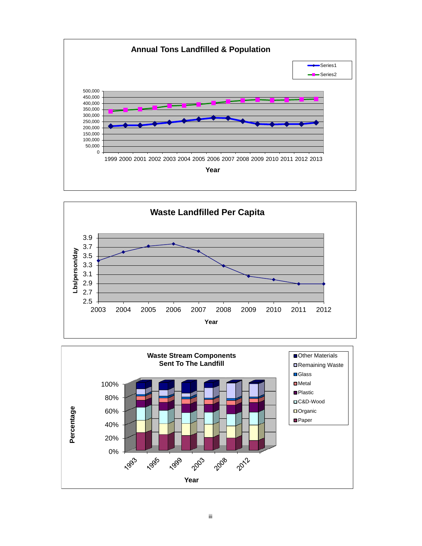



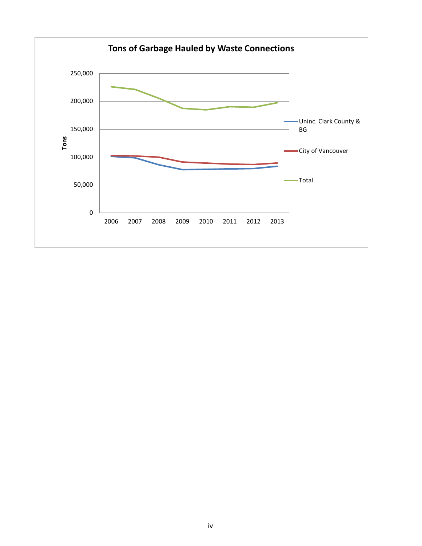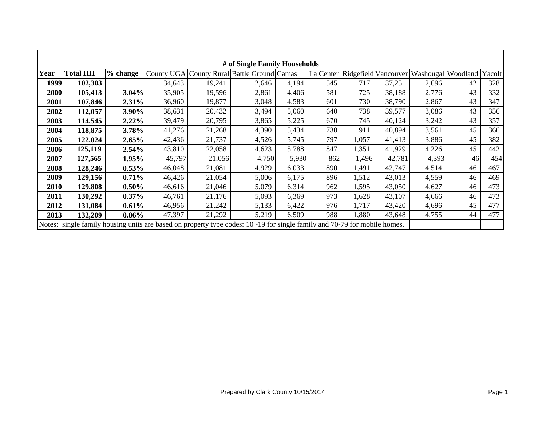| # of Single Family Households |                 |          |        |        |                                                                                                                           |       |           |       |                      |                           |    |     |
|-------------------------------|-----------------|----------|--------|--------|---------------------------------------------------------------------------------------------------------------------------|-------|-----------|-------|----------------------|---------------------------|----|-----|
| Year                          | <b>Total HH</b> | % change |        |        | County UGA County Rural Battle Ground Camas                                                                               |       | La Center |       | Ridgefield Vancouver | Washougal Woodland Yacolt |    |     |
| 1999                          | 102,303         |          | 34,643 | 19,241 | 2,646                                                                                                                     | 4,194 | 545       | 717   | 37,251               | 2,696                     | 42 | 328 |
| 2000                          | 105,413         | 3.04%    | 35,905 | 19,596 | 2,861                                                                                                                     | 4,406 | 581       | 725   | 38,188               | 2,776                     | 43 | 332 |
| 2001                          | 107,846         | 2.31%    | 36,960 | 19,877 | 3,048                                                                                                                     | 4,583 | 601       | 730   | 38,790               | 2,867                     | 43 | 347 |
| 2002                          | 112,057         | 3.90%    | 38,631 | 20,432 | 3,494                                                                                                                     | 5,060 | 640       | 738   | 39,577               | 3,086                     | 43 | 356 |
| 2003                          | 114,545         | 2.22%    | 39,479 | 20,795 | 3,865                                                                                                                     | 5,225 | 670       | 745   | 40,124               | 3,242                     | 43 | 357 |
| 2004                          | 118,875         | 3.78%    | 41,276 | 21,268 | 4,390                                                                                                                     | 5,434 | 730       | 911   | 40,894               | 3,561                     | 45 | 366 |
| 2005                          | 122,024         | 2.65%    | 42,436 | 21,737 | 4,526                                                                                                                     | 5,745 | 797       | 1,057 | 41,413               | 3,886                     | 45 | 382 |
| 2006                          | 125,119         | 2.54%    | 43,810 | 22,058 | 4,623                                                                                                                     | 5,788 | 847       | 1,351 | 41,929               | 4,226                     | 45 | 442 |
| 2007                          | 127,565         | 1.95%    | 45,797 | 21,056 | 4,750                                                                                                                     | 5,930 | 862       | 1,496 | 42,781               | 4,393                     | 46 | 454 |
| 2008                          | 128,246         | 0.53%    | 46,048 | 21,081 | 4,929                                                                                                                     | 6,033 | 890       | 1,491 | 42,747               | 4,514                     | 46 | 467 |
| 2009                          | 129,156         | 0.71%    | 46,426 | 21,054 | 5,006                                                                                                                     | 6,175 | 896       | 1,512 | 43,013               | 4,559                     | 46 | 469 |
| 2010                          | 129,808         | 0.50%    | 46,616 | 21,046 | 5,079                                                                                                                     | 6,314 | 962       | 1,595 | 43,050               | 4,627                     | 46 | 473 |
| 2011                          | 130,292         | $0.37\%$ | 46,761 | 21,176 | 5,093                                                                                                                     | 6,369 | 973       | 1,628 | 43,107               | 4,666                     | 46 | 473 |
| 2012                          | 131,084         | 0.61%    | 46,956 | 21,242 | 5,133                                                                                                                     | 6,422 | 976       | 1,717 | 43,420               | 4,696                     | 45 | 477 |
| 2013                          | 132,209         | 0.86%    | 47,397 | 21,292 | 5,219                                                                                                                     | 6,509 | 988       | 1,880 | 43,648               | 4,755                     | 44 | 477 |
|                               |                 |          |        |        | Notes: single family housing units are based on property type codes: 10 -19 for single family and 70-79 for mobile homes. |       |           |       |                      |                           |    |     |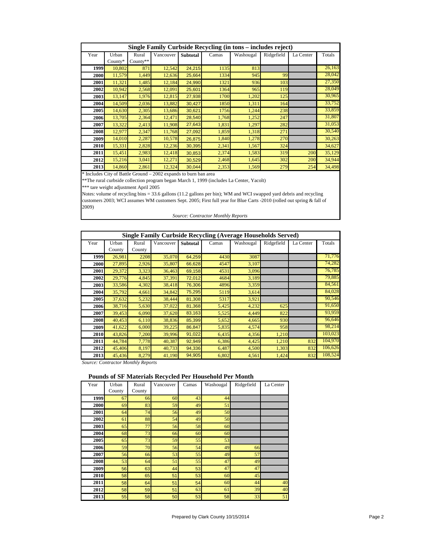|      | Single Family Curbside Recycling (in tons - includes reject) |          |           |                 |       |           |            |           |        |  |  |  |
|------|--------------------------------------------------------------|----------|-----------|-----------------|-------|-----------|------------|-----------|--------|--|--|--|
| Year | Urban                                                        | Rural    | Vancouver | <b>Subtotal</b> | Camas | Washougal | Ridgefield | La Center | Totals |  |  |  |
|      | County*                                                      | County** |           |                 |       |           |            |           |        |  |  |  |
| 1999 | 10,802                                                       | 871      | 12,542    | 24,215          | 1135  | 813       |            |           | 26,163 |  |  |  |
| 2000 | 11,579                                                       | 1,449    | 12,636    | 25,664          | 1334  | 945       | 99         |           | 28,042 |  |  |  |
| 2001 | 11,321                                                       | 1,485    | 12,184    | 24,990          | 1321  | 936       | 103        |           | 27,350 |  |  |  |
| 2002 | 10,942                                                       | 2,568    | 12,091    | 25,601          | 1364  | 965       | 119        |           | 28,049 |  |  |  |
| 2003 | 13,147                                                       | 1,976    | 12,815    | 27,938          | 1700  | 1,202     | 125        |           | 30,965 |  |  |  |
| 2004 | 14,509                                                       | 2,036    | 13,882    | 30,427          | 1850  | 1,311     | 164        |           | 33,752 |  |  |  |
| 2005 | 14,630                                                       | 2,305    | 13,686    | 30,621          | 1756  | 1,244     | 238        |           | 33,859 |  |  |  |
| 2006 | 13,705                                                       | 2,364    | 12,471    | 28,540          | 1,768 | 1,252     | 247        |           | 31,807 |  |  |  |
| 2007 | 13,322                                                       | 2,413    | 11,908    | 27,643          | 1,831 | 1,297     | 282        |           | 31,053 |  |  |  |
| 2008 | 12,977                                                       | 2,347    | 11,768    | 27,092          | 1,859 | 1,318     | 271        |           | 30,540 |  |  |  |
| 2009 | 14,010                                                       | 2,287    | 10,578    | 26,875          | 1,840 | 1,278     | 270        |           | 30,263 |  |  |  |
| 2010 | 15,331                                                       | 2,828    | 12,236    | 30,395          | 2,341 | 1,567     | 324        |           | 34,627 |  |  |  |
| 2011 | 15,451                                                       | 2,983    | 12,418    | 30,853          | 2,374 | 1,583     | 319        | 200       | 35,129 |  |  |  |
| 2012 | 15,216                                                       | 3,041    | 12,271    | 30,529          | 2,468 | 1,645     | 302        | 200       | 34,944 |  |  |  |
| 2013 | 14,860                                                       | 2,861    | 12,324    | 30,044          | 2,353 | 1,569     | 279        | 254       | 34,498 |  |  |  |

\* Includes City of Battle Ground – 2002 expands to burn ban area

\*\*The rural curbside collection program began March 1, 1999 (includes La Center, Yacolt)

\*\*\* tare weight adjustment April 2005

Notes: volume of recycling bins = 33.6 gallons (11.2 gallons per bin); WM and WCI swapped yard debris and recycling customers 2003; WCI assumes WM customers Sept. 2005; First full year for Blue Carts -2010 (rolled out spring & fall of 2009)

*Source: Contractor Monthly Reports*

|      | <b>Single Family Curbside Recycling (Average Households Served)</b> |        |           |          |       |           |            |           |         |  |  |  |
|------|---------------------------------------------------------------------|--------|-----------|----------|-------|-----------|------------|-----------|---------|--|--|--|
| Year | Urban                                                               | Rural  | Vancouver | Subtotal | Camas | Washougal | Ridgefield | La Center | Totals  |  |  |  |
|      | County                                                              | County |           |          |       |           |            |           |         |  |  |  |
| 1999 | 26,981                                                              | 2208   | 35,070    | 64,259   | 4430  | 3087      |            |           | 71,776  |  |  |  |
| 2000 | 27,895                                                              | 2,926  | 35,807    | 66,628   | 4547  | 3,107     |            |           | 74,282  |  |  |  |
| 2001 | 29,372                                                              | 3,323  | 36,463    | 69,158   | 4531  | 3,096     |            |           | 76,785  |  |  |  |
| 2002 | 29,776                                                              | 4,845  | 37,391    | 72,012   | 4684  | 3,189     |            |           | 79,885  |  |  |  |
| 2003 | 33,586                                                              | 4,302  | 38,418    | 76,306   | 4896  | 3,359     |            |           | 84,561  |  |  |  |
| 2004 | 35,792                                                              | 4,661  | 34,842    | 75,295   | 5119  | 3,614     |            |           | 84,028  |  |  |  |
| 2005 | 37,632                                                              | 5,232  | 38,444    | 81,308   | 5317  | 3,921     |            |           | 90,546  |  |  |  |
| 2006 | 38,716                                                              | 5,630  | 37,022    | 81,368   | 5,425 | 4,232     | 625        |           | 91,650  |  |  |  |
| 2007 | 39,453                                                              | 6,090  | 37,620    | 83,163   | 5,525 | 4,449     | 822        |           | 93,959  |  |  |  |
| 2008 | 40,453                                                              | 6,110  | 38,836    | 85,399   | 5,652 | 4,665     | 930        |           | 96,646  |  |  |  |
| 2009 | 41,622                                                              | 6,000  | 39,225    | 86,847   | 5,835 | 4,574     | 958        |           | 98,214  |  |  |  |
| 2010 | 43,826                                                              | 7,200  | 39,996    | 91,022   | 6,435 | 4,356     | 1,210      |           | 103,023 |  |  |  |
| 2011 | 44,784                                                              | 7,778  | 40,387    | 92,949   | 6,386 | 4,425     | 1,210      | 832       | 104,970 |  |  |  |
| 2012 | 45,406                                                              | 8,197  | 40,733    | 94,336   | 6,487 | 4,500     | 1,303      | 832       | 106,626 |  |  |  |
| 2013 | 45,436                                                              | 8,279  | 41,190    | 94,905   | 6,802 | 4,561     | 1,424      | 832       | 108,524 |  |  |  |

*Source: Contractor Monthly Reports*

#### **Pounds of SF Materials Recycled Per Household Per Month**

| Year | Urban  | Rural  | Vancouver | Camas | Washougal | Ridgefield | La Center |
|------|--------|--------|-----------|-------|-----------|------------|-----------|
|      | County | County |           |       |           |            |           |
| 1999 | 67     | 66     | 60        | 43    | 44        |            |           |
| 2000 | 69     | 83     | 59        | 49    | 51        |            |           |
| 2001 | 64     | 74     | 56        | 49    | 50        |            |           |
| 2002 | 61     | 88     | 54        | 49    | 50        |            |           |
| 2003 | 65     | 77     | 56        | 58    | 60        |            |           |
| 2004 | 68     | 73     | 66        | 60    | 60        |            |           |
| 2005 | 65     | 73     | 59        | 55    | 53        |            |           |
| 2006 | 59     | 70     | 56        | 54    | 49        | 66         |           |
| 2007 | 56     | 66     | 53        | 55    | 49        | 57         |           |
| 2008 | 53     | 64     | 51        | 55    | 47        | 49         |           |
| 2009 | 56     | 63     | 44        | 53    | 47        | 47         |           |
| 2010 | 58     | 65     | 51        | 53    | 60        | 45         |           |
| 2011 | 58     | 64     | 51        | 54    | 60        | 44         | 40        |
| 2012 | 58     | 59     | 51        | 63    | 61        | 39         | 40        |
| 2013 | 55     | 58     | 50        | 53    | 58        | 33         | 51        |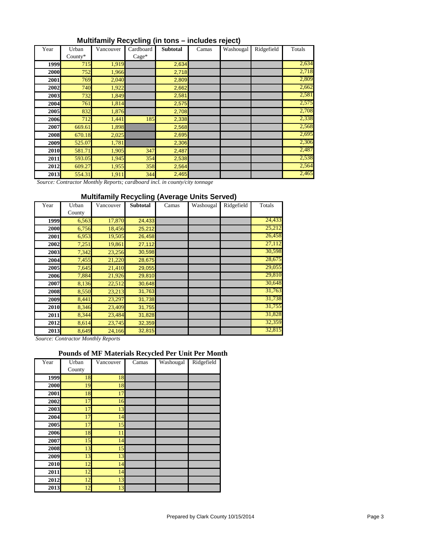| Multifamily Recycling (in tons - includes reject) |  |  |  |
|---------------------------------------------------|--|--|--|
|---------------------------------------------------|--|--|--|

| Year | Urban      | Vancouver | Cardboard | <b>Subtotal</b> | Camas | Washougal | Ridgefield | Totals |
|------|------------|-----------|-----------|-----------------|-------|-----------|------------|--------|
|      | $Countv^*$ |           | $Case*$   |                 |       |           |            |        |
| 1999 | 715        | 1,919     |           | 2,634           |       |           |            | 2,634  |
| 2000 | 752        | 1,966     |           | 2,718           |       |           |            | 2,718  |
| 2001 | 769        | 2,040     |           | 2,809           |       |           |            | 2,809  |
| 2002 | 740        | 1,922     |           | 2,662           |       |           |            | 2,662  |
| 2003 | 732        | 1,849     |           | 2,581           |       |           |            | 2,581  |
| 2004 | 761        | 1,814     |           | 2,575           |       |           |            | 2,575  |
| 2005 | 832        | 1,876     |           | 2,708           |       |           |            | 2,708  |
| 2006 | 712        | 1,441     | 185       | 2,338           |       |           |            | 2,338  |
| 2007 | 669.61     | 1,898     |           | 2,568           |       |           |            | 2,568  |
| 2008 | 670.18     | 2,025     |           | 2,695           |       |           |            | 2,695  |
| 2009 | 525.07     | 1,781     |           | 2,306           |       |           |            | 2,306  |
| 2010 | 581.71     | 1,905     | 347       | 2,487           |       |           |            | 2,487  |
| 2011 | 593.05     | 1,945     | 354       | 2,538           |       |           |            | 2,538  |
| 2012 | 609.27     | 1,955     | 358       | 2,564           |       |           |            | 2,564  |
| 2013 | 554.31     | 1,911     | 344       | 2,465           |       |           |            | 2,465  |

 *Source: Contractor Monthly Reports; cardboard incl. in county/city tonnage*

#### **Multifamily Recycling (Average Units Served)**

| Year        | Urban  | Vancouver | <b>Subtotal</b> | Camas | Washougal | Ridgefield | Totals |
|-------------|--------|-----------|-----------------|-------|-----------|------------|--------|
|             | County |           |                 |       |           |            |        |
| 1999        | 6,563  | 17,870    | 24,433          |       |           |            | 24,433 |
| 2000        | 6,756  | 18,456    | 25,212          |       |           |            | 25,212 |
| 2001        | 6,953  | 19,505    | 26,458          |       |           |            | 26,458 |
| 2002        | 7,251  | 19,861    | 27,112          |       |           |            | 27,112 |
| <b>2003</b> | 7,342  | 23,256    | 30,598          |       |           |            | 30,598 |
| 2004        | 7,455  | 21,220    | 28,675          |       |           |            | 28,675 |
| 2005        | 7,645  | 21,410    | 29,055          |       |           |            | 29,055 |
| 2006        | 7,884  | 21,926    | 29,810          |       |           |            | 29,810 |
| 2007        | 8,136  | 22,512    | 30,648          |       |           |            | 30,648 |
| 2008        | 8,550  | 23,213    | 31,763          |       |           |            | 31,763 |
| 2009        | 8,441  | 23,297    | 31,738          |       |           |            | 31,738 |
| <b>2010</b> | 8,346  | 23,409    | 31,755          |       |           |            | 31,755 |
| 2011        | 8,344  | 23,484    | 31,828          |       |           |            | 31,828 |
| <b>2012</b> | 8,614  | 23,745    | 32,359          |       |           |            | 32,359 |
| <b>2013</b> | 8,649  | 24,166    | 32,815          |       |           |            | 32,815 |

*Source: Contractor Monthly Reports*

### **Pounds of MF Materials Recycled Per Unit Per Month**

| Year | Urban  | Vancouver | v<br>Camas | Washougal | Ridgefield |
|------|--------|-----------|------------|-----------|------------|
|      | County |           |            |           |            |
| 1999 | 18     | 18        |            |           |            |
| 2000 | 19     | 18        |            |           |            |
| 2001 | 18     | 17        |            |           |            |
| 2002 | 17     | 16        |            |           |            |
| 2003 | 17     | 13        |            |           |            |
| 2004 | 17     | 14        |            |           |            |
| 2005 | 17     | 15        |            |           |            |
| 2006 | 18     | 11        |            |           |            |
| 2007 | 15     | 14        |            |           |            |
| 2008 | 13     | 15        |            |           |            |
| 2009 | 13     | 13        |            |           |            |
| 2010 | 12     | 14        |            |           |            |
| 2011 | 12     | 14        |            |           |            |
| 2012 | 12     | 13        |            |           |            |
| 2013 | 12     | 13        |            |           |            |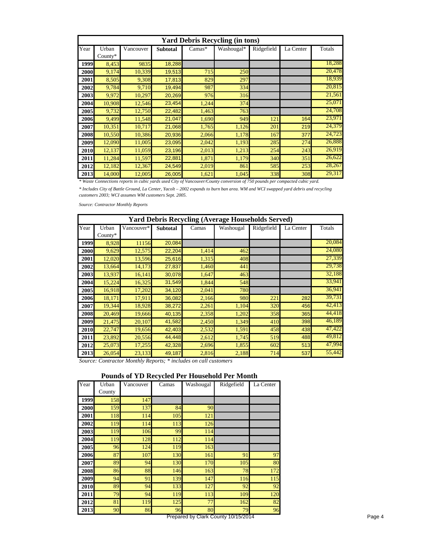|      | <b>Yard Debris Recycling (in tons)</b> |           |                 |          |            |            |           |        |  |  |  |  |
|------|----------------------------------------|-----------|-----------------|----------|------------|------------|-----------|--------|--|--|--|--|
| Year | Urban                                  | Vancouver | <b>Subtotal</b> | $Camas*$ | Washougal* | Ridgefield | La Center | Totals |  |  |  |  |
|      | County $*$                             |           |                 |          |            |            |           |        |  |  |  |  |
| 1999 | 8,453                                  | 9835      | 18,288          |          |            |            |           | 18,288 |  |  |  |  |
| 2000 | 9,174                                  | 10,339    | 19,513          | 715      | 250        |            |           | 20,478 |  |  |  |  |
| 2001 | 8,505                                  | 9,308     | 17,813          | 829      | 297        |            |           | 18,939 |  |  |  |  |
| 2002 | 9,784                                  | 9,710     | 19,494          | 987      | 334        |            |           | 20,815 |  |  |  |  |
| 2003 | 9,972                                  | 10,297    | 20,269          | 976      | 316        |            |           | 21,561 |  |  |  |  |
| 2004 | 10,908                                 | 12,546    | 23,454          | 1,244    | 374        |            |           | 25,071 |  |  |  |  |
| 2005 | 9,732                                  | 12,750    | 22,482          | 1,463    | 763        |            |           | 24,708 |  |  |  |  |
| 2006 | 9,499                                  | 11,548    | 21,047          | 1,690    | 949        | 121        | 164       | 23,971 |  |  |  |  |
| 2007 | 10,351                                 | 10,717    | 21,068          | 1,765    | 1,126      | 201        | 219       | 24,379 |  |  |  |  |
| 2008 | 10,550                                 | 10,386    | 20,936          | 2,066    | 1,178      | 167        | 377       | 24,723 |  |  |  |  |
| 2009 | 12,090                                 | 11,005    | 23,095          | 2,042    | 1,193      | 285        | 274       | 26,888 |  |  |  |  |
| 2010 | 12,137                                 | 11,059    | 23,196          | 2,013    | 1,213      | 254        | 243       | 26,919 |  |  |  |  |
| 2011 | 11,284                                 | 11,597    | 22,881          | 1,871    | 1,179      | 340        | 351       | 26,622 |  |  |  |  |
| 2012 | 12,182                                 | 12,367    | 24,549          | 2,019    | 861        | 585        | 253       | 28,267 |  |  |  |  |
| 2013 | 14.000                                 | 12,005    | 26,005          | 1,621    | 1.045      | 338        | 308       | 29,317 |  |  |  |  |

*\* Waste Connections reports in cubic yards used City of Vancouver/County conversion of 750 pounds per compacted cubic yard.*

*\* Includes City of Battle Ground, La Center, Yacolt – 2002 expands to burn ban area. WM and WCI swapped yard debris and recycling customers 2003; WCI assumes WM customers Sept. 2005.* 

*Source: Contractor Monthly Reports*

|      | <b>Yard Debris Recycling (Average Households Served)</b> |            |                 |       |           |            |           |        |  |  |  |  |
|------|----------------------------------------------------------|------------|-----------------|-------|-----------|------------|-----------|--------|--|--|--|--|
| Year | Urban                                                    | Vancouver* | <b>Subtotal</b> | Camas | Washougal | Ridgefield | La Center | Totals |  |  |  |  |
|      | County $*$                                               |            |                 |       |           |            |           |        |  |  |  |  |
| 1999 | 8.928                                                    | 11156      | 20,084          |       |           |            |           | 20,084 |  |  |  |  |
| 2000 | 9,629                                                    | 12,575     | 22,204          | 1,414 | 462       |            |           | 24,080 |  |  |  |  |
| 2001 | 12,020                                                   | 13,596     | 25,616          | 1,315 | 408       |            |           | 27,339 |  |  |  |  |
| 2002 | 13,664                                                   | 14,173     | 27,837          | 1,460 | 441       |            |           | 29,738 |  |  |  |  |
| 2003 | 13,937                                                   | 16,141     | 30,078          | 1,647 | 463       |            |           | 32,188 |  |  |  |  |
| 2004 | 15,224                                                   | 16,325     | 31,549          | 1,844 | 548       |            |           | 33,941 |  |  |  |  |
| 2005 | 16,918                                                   | 17,202     | 34,120          | 2,041 | 780       |            |           | 36,941 |  |  |  |  |
| 2006 | 18,171                                                   | 17,911     | 36,082          | 2,166 | 980       | 221        | 282       | 39,731 |  |  |  |  |
| 2007 | 19,344                                                   | 18,928     | 38,272          | 2,261 | 1,104     | 320        | 456       | 42,413 |  |  |  |  |
| 2008 | 20,469                                                   | 19,666     | 40,135          | 2,358 | 1,202     | 358        | 365       | 44,418 |  |  |  |  |
| 2009 | 21,475                                                   | 20,107     | 41,582          | 2,450 | 1,349     | 410        | 398       | 46,189 |  |  |  |  |
| 2010 | 22,747                                                   | 19,656     | 42,403          | 2,532 | 1,591     | 458        | 438       | 47,422 |  |  |  |  |
| 2011 | 23,892                                                   | 20,556     | 44,448          | 2,612 | 1,745     | 519        | 488       | 49,812 |  |  |  |  |
| 2012 | 25,073                                                   | 17,255     | 42,328          | 2,696 | 1,855     | 602        | 513       | 47,994 |  |  |  |  |
| 2013 | 26,054                                                   | 23,133     | 49,187          | 2,816 | 2,188     | 714        | 537       | 55,442 |  |  |  |  |

*Source: Contractor Monthly Reports; \* includes on call customers*

#### **Pounds of YD Recycled Per Household Per Month**

| Year | Urban  | Vancouver | Camas | Washougal | Ridgefield | La Center |
|------|--------|-----------|-------|-----------|------------|-----------|
|      | County |           |       |           |            |           |
| 1999 | 158    | 147       |       |           |            |           |
| 2000 | 159    | 137       | 84    | 90        |            |           |
| 2001 | 118    | 114       | 105   | 121       |            |           |
| 2002 | 119    | 114       | 113   | 126       |            |           |
| 2003 | 119    | 106       | 99    | 114       |            |           |
| 2004 | 119    | 128       | 112   | 114       |            |           |
| 2005 | 96     | 124       | 119   | 163       |            |           |
| 2006 | 87     | 107       | 130   | 161       | 91         | 97        |
| 2007 | 89     | 94        | 130   | 170       | 105        | 80        |
| 2008 | 86     | 88        | 146   | 163       | 78         | 172       |
| 2009 | 94     | 91        | 139   | 147       | 116        | 115       |
| 2010 | 89     | 94        | 133   | 127       | 92         | 92        |
| 2011 | 79     | 94        | 119   | 113       | 109        | 120       |
| 2012 | 81     | 119       | 125   | 77        | 162        | 82        |
| 2013 | 90     | 86        | 96    | 80        | 79         | 96        |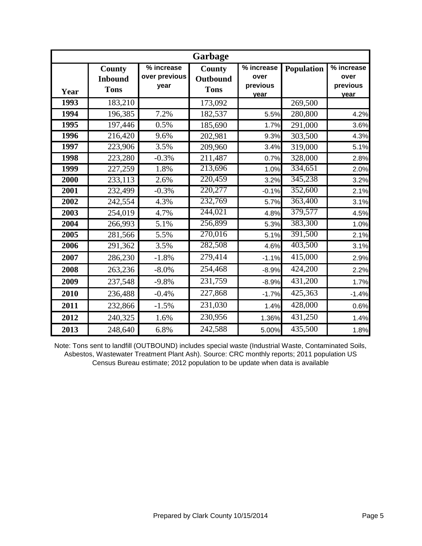|             |                                         |                                     | Garbage                                  |                                        |                   |                                        |
|-------------|-----------------------------------------|-------------------------------------|------------------------------------------|----------------------------------------|-------------------|----------------------------------------|
| Year        | County<br><b>Inbound</b><br><b>Tons</b> | % increase<br>over previous<br>year | <b>County</b><br>Outbound<br><b>Tons</b> | % increase<br>over<br>previous<br>vear | <b>Population</b> | % increase<br>over<br>previous<br>vear |
| 1993        | 183,210                                 |                                     | 173,092                                  |                                        | 269,500           |                                        |
| 1994        | 196,385                                 | 7.2%                                | 182,537                                  | 5.5%                                   | 280,800           | 4.2%                                   |
| 1995        | 197,446                                 | 0.5%                                | 185,690                                  | 1.7%                                   | 291,000           | 3.6%                                   |
| 1996        | 216,420                                 | 9.6%                                | 202,981                                  | 9.3%                                   | 303,500           | 4.3%                                   |
| 1997        | 223,906                                 | 3.5%                                | 209,960                                  | 3.4%                                   | 319,000           | 5.1%                                   |
| <b>1998</b> | 223,280                                 | $-0.3%$                             | 211,487                                  | 0.7%                                   | 328,000           | 2.8%                                   |
| 1999        | 227,259                                 | 1.8%                                | 213,696                                  | 1.0%                                   | 334,651           | 2.0%                                   |
| 2000        | 233,113                                 | 2.6%                                | 220,459                                  | 3.2%                                   | 345,238           | 3.2%                                   |
| 2001        | 232,499                                 | $-0.3%$                             | 220,277                                  | $-0.1%$                                | 352,600           | 2.1%                                   |
| 2002        | 242,554                                 | 4.3%                                | 232,769                                  | 5.7%                                   | 363,400           | 3.1%                                   |
| 2003        | 254,019                                 | 4.7%                                | 244,021                                  | 4.8%                                   | 379,577           | 4.5%                                   |
| 2004        | 266,993                                 | 5.1%                                | 256,899                                  | 5.3%                                   | 383,300           | 1.0%                                   |
| 2005        | 281,566                                 | 5.5%                                | 270,016                                  | 5.1%                                   | 391,500           | 2.1%                                   |
| 2006        | 291,362                                 | 3.5%                                | 282,508                                  | 4.6%                                   | 403,500           | 3.1%                                   |
| 2007        | 286,230                                 | $-1.8%$                             | 279,414                                  | $-1.1%$                                | 415,000           | 2.9%                                   |
| 2008        | 263,236                                 | $-8.0%$                             | 254,468                                  | $-8.9%$                                | 424,200           | 2.2%                                   |
| 2009        | 237,548                                 | $-9.8%$                             | 231,759                                  | $-8.9%$                                | 431,200           | 1.7%                                   |
| 2010        | 236,488                                 | $-0.4%$                             | 227,868                                  | $-1.7%$                                | 425,363           | $-1.4%$                                |
| 2011        | 232,866                                 | $-1.5%$                             | 231,030                                  | 1.4%                                   | 428,000           | 0.6%                                   |
| 2012        | 240,325                                 | 1.6%                                | 230,956                                  | 1.36%                                  | 431,250           | 1.4%                                   |
| 2013        | 248,640                                 | 6.8%                                | 242,588                                  | 5.00%                                  | 435,500           | 1.8%                                   |

Note: Tons sent to landfill (OUTBOUND) includes special waste (Industrial Waste, Contaminated Soils, Asbestos, Wastewater Treatment Plant Ash). Source: CRC monthly reports; 2011 population US Census Bureau estimate; 2012 population to be update when data is available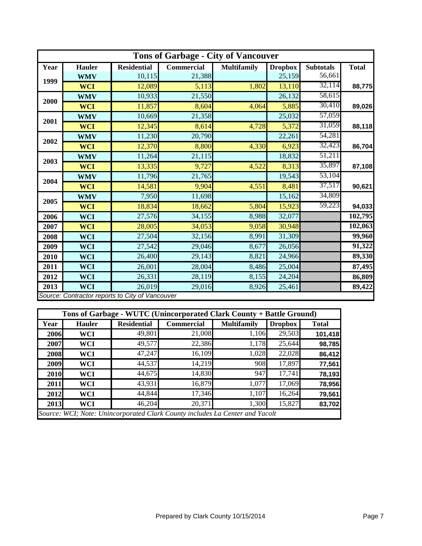|      | <b>Tons of Garbage - City of Vancouver</b>      |                    |            |                    |                |                  |              |  |  |  |
|------|-------------------------------------------------|--------------------|------------|--------------------|----------------|------------------|--------------|--|--|--|
| Year | <b>Hauler</b>                                   | <b>Residential</b> | Commercial | <b>Multifamily</b> | <b>Dropbox</b> | <b>Subtotals</b> | <b>Total</b> |  |  |  |
| 1999 | <b>WMV</b>                                      | 10,115             | 21,388     |                    | 25,159         | 56,661           |              |  |  |  |
|      | <b>WCI</b>                                      | 12,089             | 5,113      | 1,802              | 13,110         | 32,114           | 88,775       |  |  |  |
|      | <b>WMV</b>                                      | 10,933             | 21,550     |                    | 26,132         | 58,615           |              |  |  |  |
| 2000 | <b>WCI</b>                                      | 11,857             | 8,604      | 4,064              | 5,885          | 30,410           | 89,026       |  |  |  |
|      | <b>WMV</b>                                      | 10,669             | 21,358     |                    | 25,032         | 57,059           |              |  |  |  |
| 2001 | <b>WCI</b>                                      | 12,345             | 8,614      | 4,728              | 5,372          | 31,059           | 88,118       |  |  |  |
|      | <b>WMV</b>                                      | 11,230             | 20,790     |                    | 22,261         | 54,281           |              |  |  |  |
| 2002 | <b>WCI</b>                                      | 12,370             | 8,800      | 4,330              | 6,923          | 32,423           | 86,704       |  |  |  |
|      | <b>WMV</b>                                      | 11,264             | 21,115     |                    | 18,832         | 51,211           |              |  |  |  |
| 2003 | <b>WCI</b>                                      | 13,335             | 9,727      | 4,522              | 8,313          | 35,897           | 87,108       |  |  |  |
| 2004 | <b>WMV</b>                                      | 11,796             | 21,765     |                    | 19,543         | 53,104           |              |  |  |  |
|      | <b>WCI</b>                                      | 14,581             | 9,904      | 4,551              | 8,481          | 37,517           | 90,621       |  |  |  |
|      | <b>WMV</b>                                      | 7,950              | 11,698     |                    | 15,162         | 34,809           |              |  |  |  |
| 2005 | <b>WCI</b>                                      | 18,834             | 18,662     | 5,804              | 15,923         | 59,223           | 94,033       |  |  |  |
| 2006 | <b>WCI</b>                                      | 27,576             | 34,155     | 8,988              | 32,077         |                  | 102,795      |  |  |  |
| 2007 | <b>WCI</b>                                      | 28,005             | 34,053     | 9,058              | 30,948         |                  | 102,063      |  |  |  |
| 2008 | <b>WCI</b>                                      | 27,504             | 32,156     | 8,991              | 31,309         |                  | 99,960       |  |  |  |
| 2009 | <b>WCI</b>                                      | 27,542             | 29,046     | 8,677              | 26,056         |                  | 91,322       |  |  |  |
| 2010 | <b>WCI</b>                                      | 26,400             | 29,143     | 8,821              | 24,966         |                  | 89,330       |  |  |  |
| 2011 | <b>WCI</b>                                      | 26,001             | 28,004     | 8,486              | 25,004         |                  | 87,495       |  |  |  |
| 2012 | <b>WCI</b>                                      | 26,331             | 28,119     | 8,155              | 24,204         |                  | 86,809       |  |  |  |
| 2013 | <b>WCI</b>                                      | 26,019             | 29,016     | 8,926              | 25,461         |                  | 89,422       |  |  |  |
|      | Source: Contractor reports to City of Vancouver |                    |            |                    |                |                  |              |  |  |  |

|      | Tons of Garbage - WUTC (Unincorporated Clark County + Battle Ground) |                    |                                                                              |                    |                |              |  |  |  |
|------|----------------------------------------------------------------------|--------------------|------------------------------------------------------------------------------|--------------------|----------------|--------------|--|--|--|
| Year | <b>Hauler</b>                                                        | <b>Residential</b> | <b>Commercial</b>                                                            | <b>Multifamily</b> | <b>Dropbox</b> | <b>Total</b> |  |  |  |
| 2006 | WCI                                                                  | 49,801             | 21,008                                                                       | 1,106              | 29,503         | 101,418      |  |  |  |
| 2007 | WCI                                                                  | 49,577             | 22,386                                                                       | 1,178              | 25,644         | 98,785       |  |  |  |
| 2008 | WCI                                                                  | 47,247             | 16,109                                                                       | 1,028              | 22,028         | 86,412       |  |  |  |
| 2009 | WCI                                                                  | 44,537             | 14,219                                                                       | 908                | 17,897         | 77,561       |  |  |  |
| 2010 | WCI                                                                  | 44,675             | 14,830                                                                       | 947                | 17,741         | 78,193       |  |  |  |
| 2011 | WCI                                                                  | 43,931             | 16,879                                                                       | 1,077              | 17,069         | 78,956       |  |  |  |
| 2012 | WCI                                                                  | 44,844             | 17,346                                                                       | 1,107              | 16,264         | 79,561       |  |  |  |
| 2013 | WCI                                                                  | 46,204             | 20,371                                                                       | 1,300              | 15,827         | 83,702       |  |  |  |
|      |                                                                      |                    | Source: WCI; Note: Unincorporated Clark County includes La Center and Yacolt |                    |                |              |  |  |  |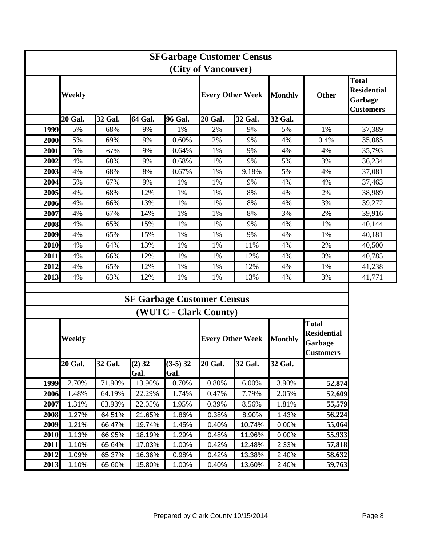| <b>SFGarbage Customer Census</b> |                |         |                  |                                   |                         |         |                |                                                                   |                                                                   |
|----------------------------------|----------------|---------|------------------|-----------------------------------|-------------------------|---------|----------------|-------------------------------------------------------------------|-------------------------------------------------------------------|
|                                  |                |         |                  |                                   | (City of Vancouver)     |         |                |                                                                   |                                                                   |
|                                  | Weekly         |         |                  |                                   | <b>Every Other Week</b> |         | <b>Monthly</b> | <b>Other</b>                                                      | <b>Total</b><br><b>Residential</b><br>Garbage<br><b>Customers</b> |
|                                  | <b>20 Gal.</b> | 32 Gal. | 64 Gal.          | 96 Gal.                           | <b>20 Gal.</b>          | 32 Gal. | 32 Gal.        |                                                                   |                                                                   |
| 1999                             | 5%             | 68%     | 9%               | 1%                                | 2%                      | 9%      | 5%             | 1%                                                                | 37,389                                                            |
| 2000                             | 5%             | 69%     | 9%               | 0.60%                             | 2%                      | 9%      | 4%             | 0.4%                                                              | 35,085                                                            |
| 2001                             | 5%             | 67%     | 9%               | 0.64%                             | 1%                      | 9%      | 4%             | 4%                                                                | 35,793                                                            |
| 2002                             | 4%             | 68%     | 9%               | 0.68%                             | 1%                      | 9%      | 5%             | 3%                                                                | 36,234                                                            |
| 2003                             | 4%             | 68%     | 8%               | 0.67%                             | 1%                      | 9.18%   | 5%             | 4%                                                                | 37,081                                                            |
| 2004                             | 5%             | 67%     | 9%               | 1%                                | 1%                      | 9%      | 4%             | 4%                                                                | 37,463                                                            |
| 2005                             | 4%             | 68%     | 12%              | 1%                                | 1%                      | 8%      | 4%             | 2%                                                                | 38,989                                                            |
| 2006                             | 4%             | 66%     | 13%              | 1%                                | 1%                      | 8%      | 4%             | 3%                                                                | 39,272                                                            |
| 2007                             | 4%             | 67%     | 14%              | 1%                                | 1%                      | 8%      | 3%             | 2%                                                                | 39,916                                                            |
| 2008                             | 4%             | 65%     | 15%              | 1%                                | 1%                      | 9%      | 4%             | 1%                                                                | 40,144                                                            |
| 2009                             | 4%             | 65%     | 15%              | 1%                                | 1%                      | 9%      | 4%             | 1%                                                                | 40,181                                                            |
| 2010                             | 4%             | 64%     | 13%              | 1%                                | 1%                      | 11%     | 4%             | 2%                                                                | 40,500                                                            |
| 2011                             | 4%             | 66%     | 12%              | 1%                                | 1%                      | 12%     | 4%             | 0%                                                                | 40,785                                                            |
| 2012                             | 4%             | 65%     | 12%              | 1%                                | 1%                      | 12%     | 4%             | 1%                                                                | 41,238                                                            |
| 2013                             | 4%             | 63%     | 12%              | 1%                                | 1%                      | 13%     | 4%             | 3%                                                                | 41,771                                                            |
|                                  |                |         |                  |                                   |                         |         |                |                                                                   |                                                                   |
|                                  |                |         |                  | <b>SF Garbage Customer Census</b> |                         |         |                |                                                                   |                                                                   |
|                                  |                |         |                  | (WUTC - Clark County)             |                         |         |                |                                                                   |                                                                   |
|                                  | Weekly         |         |                  |                                   | <b>Every Other Week</b> |         | <b>Monthly</b> | <b>Total</b><br><b>Residential</b><br>Garbage<br><b>Customers</b> |                                                                   |
|                                  | <b>20 Gal.</b> | 32 Gal. | $(2)$ 32<br>Gal. | $(3-5)$ 32<br>Gal.                | <b>20 Gal.</b>          | 32 Gal. | 32 Gal.        |                                                                   |                                                                   |
| 1999                             | 2.70%          | 71.90%  | 13.90%           | 0.70%                             | 0.80%                   | 6.00%   | 3.90%          | 52,874                                                            |                                                                   |
| 2006                             | 1.48%          | 64.19%  | 22.29%           | 1.74%                             | 0.47%                   | 7.79%   | 2.05%          | 52,609                                                            |                                                                   |
| 2007                             | 1.31%          | 63.93%  | 22.05%           | 1.95%                             | 0.39%                   | 8.56%   | 1.81%          | 55,579                                                            |                                                                   |
| 2008                             | 1.27%          | 64.51%  | 21.65%           | 1.86%                             | 0.38%                   | 8.90%   | 1.43%          | 56,224                                                            |                                                                   |
| 2009                             | 1.21%          | 66.47%  | 19.74%           | 1.45%                             | 0.40%                   | 10.74%  | 0.00%          | 55,064                                                            |                                                                   |
| 2010                             | 1.13%          | 66.95%  | 18.19%           | 1.29%                             | 0.48%                   | 11.96%  | 0.00%          | 55,933                                                            |                                                                   |
| 2011                             | 1.10%          | 65.64%  | 17.03%           | 1.00%                             | 0.42%                   | 12.48%  | 2.33%          | 57,818                                                            |                                                                   |
| 2012                             | 1.09%          | 65.37%  | 16.36%           | 0.98%                             | 0.42%                   | 13.38%  | 2.40%          | 58,632                                                            |                                                                   |
| 2013                             | 1.10%          | 65.60%  | 15.80%           | 1.00%                             | 0.40%                   | 13.60%  | 2.40%          | 59,763                                                            |                                                                   |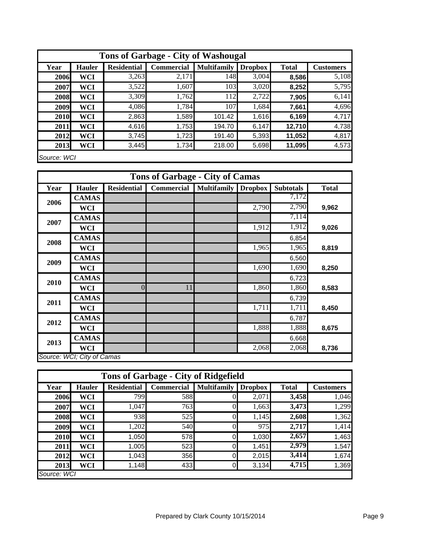|             | <b>Tons of Garbage - City of Washougal</b> |                    |            |                    |                |              |                  |  |  |
|-------------|--------------------------------------------|--------------------|------------|--------------------|----------------|--------------|------------------|--|--|
| Year        | <b>Hauler</b>                              | <b>Residential</b> | Commercial | <b>Multifamily</b> | <b>Dropbox</b> | <b>Total</b> | <b>Customers</b> |  |  |
| 2006        | <b>WCI</b>                                 | 3,263              | 2,171      | 148                | 3,004          | 8,586        | 5,108            |  |  |
| 2007        | <b>WCI</b>                                 | 3,522              | 1,607      | 103                | 3,020          | 8,252        | 5,795            |  |  |
| 2008        | WCI                                        | 3,309              | 1,762      | 112                | 2,722          | 7,905        | 6,141            |  |  |
| 2009        | <b>WCI</b>                                 | 4,086              | 1,784      | 107                | 1,684          | 7,661        | 4,696            |  |  |
| 2010        | <b>WCI</b>                                 | 2,863              | 1,589      | 101.42             | 1,616          | 6,169        | 4,717            |  |  |
| 2011        | <b>WCI</b>                                 | 4,616              | 1,753      | 194.70             | 6,147          | 12,710       | 4,738            |  |  |
| 2012        | <b>WCI</b>                                 | 3,745              | 1,723      | 191.40             | 5,393          | 11,052       | 4,817            |  |  |
| 2013        | <b>WCI</b>                                 | 3,445              | 1,734      | 218.00             | 5,698          | 11,095       | 4,573            |  |  |
| Source: WCI |                                            |                    |            |                    |                |              |                  |  |  |

| <b>Tons of Garbage - City of Camas</b> |                            |                    |                   |                            |       |                  |              |  |
|----------------------------------------|----------------------------|--------------------|-------------------|----------------------------|-------|------------------|--------------|--|
| Year                                   | <b>Hauler</b>              | <b>Residential</b> | <b>Commercial</b> | <b>Multifamily Dropbox</b> |       | <b>Subtotals</b> | <b>Total</b> |  |
| 2006                                   | <b>CAMAS</b>               |                    |                   |                            |       | 7,172            |              |  |
|                                        | WCI                        |                    |                   |                            | 2,790 | 2,790            | 9,962        |  |
| 2007                                   | <b>CAMAS</b>               |                    |                   |                            |       | 7,114            |              |  |
|                                        | <b>WCI</b>                 |                    |                   |                            | 1,912 | 1,912            | 9,026        |  |
| 2008                                   | <b>CAMAS</b>               |                    |                   |                            |       | 6,854            |              |  |
|                                        | <b>WCI</b>                 |                    |                   |                            | 1,965 | 1,965            | 8,819        |  |
| 2009                                   | <b>CAMAS</b>               |                    |                   |                            |       | 6,560            |              |  |
|                                        | <b>WCI</b>                 |                    |                   |                            | 1,690 | 1,690            | 8,250        |  |
| 2010                                   | <b>CAMAS</b>               |                    |                   |                            |       | 6,723            |              |  |
|                                        | <b>WCI</b>                 | $\overline{0}$     | 11                |                            | 1,860 | 1,860            | 8,583        |  |
| 2011                                   | <b>CAMAS</b>               |                    |                   |                            |       | 6,739            |              |  |
|                                        | <b>WCI</b>                 |                    |                   |                            | 1,711 | 1,711            | 8,450        |  |
| 2012                                   | <b>CAMAS</b>               |                    |                   |                            |       | 6,787            |              |  |
|                                        | <b>WCI</b>                 |                    |                   |                            | 1,888 | 1,888            | 8,675        |  |
| 2013                                   | <b>CAMAS</b>               |                    |                   |                            |       | 6,668            |              |  |
|                                        | <b>WCI</b>                 |                    |                   |                            | 2,068 | 2,068            | 8,736        |  |
|                                        | Source: WCI; City of Camas |                    |                   |                            |       |                  |              |  |

|             | <b>Tons of Garbage - City of Ridgefield</b> |                    |                   |                    |                |              |                  |  |  |
|-------------|---------------------------------------------|--------------------|-------------------|--------------------|----------------|--------------|------------------|--|--|
| Year        | <b>Hauler</b>                               | <b>Residential</b> | <b>Commercial</b> | <b>Multifamily</b> | <b>Dropbox</b> | <b>Total</b> | <b>Customers</b> |  |  |
| 2006        | <b>WCI</b>                                  | 799                | 588               |                    | 2,071          | 3,458        | 1,046            |  |  |
| 2007        | <b>WCI</b>                                  | 1,047              | 763               |                    | 1,663          | 3,473        | 1,299            |  |  |
| 2008        | <b>WCI</b>                                  | 938                | 525               |                    | 1,145          | 2,608        | 1,362            |  |  |
| 2009        | <b>WCI</b>                                  | 1,202              | 540               |                    | 975            | 2,717        | 1,414            |  |  |
| 2010        | WCI                                         | 1,050              | 578               | 0                  | 1,030          | 2,657        | 1,463            |  |  |
| 2011        | WCI                                         | 1,005              | 523               | $\overline{0}$     | 1,451          | 2,979        | 1,547            |  |  |
| 2012        | WCI                                         | 1,043              | 356               |                    | 2,015          | 3,414        | 1,674            |  |  |
| 2013        | WCI                                         | 1,148              | 433               | 0                  | 3,134          | 4,715        | 1,369            |  |  |
| Source: WCI |                                             |                    |                   |                    |                |              |                  |  |  |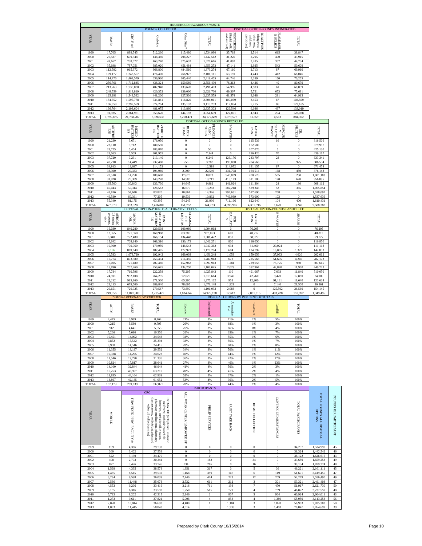|                      |                                                    |                                              | POUNDS COLLECTED                                                                                                                                                                                              | HOUSEHOLD HAZARDOUS WASTE   |                                      |                                                                                                                       | DISPOSAL OPTION-POUNDS INCINERATED                                           |                                                      |                                  |                                      |                        |
|----------------------|----------------------------------------------------|----------------------------------------------|---------------------------------------------------------------------------------------------------------------------------------------------------------------------------------------------------------------|-----------------------------|--------------------------------------|-----------------------------------------------------------------------------------------------------------------------|------------------------------------------------------------------------------|------------------------------------------------------|----------------------------------|--------------------------------------|------------------------|
|                      |                                                    |                                              |                                                                                                                                                                                                               |                             |                                      |                                                                                                                       |                                                                              |                                                      |                                  |                                      |                        |
| <b>YEAR</b>          | Mobile                                             | <b>CRC Fixed</b>                             | Curbside                                                                                                                                                                                                      | Other Sites <sup>®</sup>    | TOTAL                                |                                                                                                                       | REACTIVES<br>when wet, $\label{eq:1}$ oxidizers,<br>(dangerous<br>peroxides) |                                                      | TOTAL                            |                                      |                        |
|                      |                                                    |                                              |                                                                                                                                                                                                               |                             |                                      | $\begin{tabular}{ c c } \hline (liquid, solid) \\ \hline and are cosol) \\ \hline \end{tabular}$<br><b>PESTICIDES</b> |                                                                              | E AMMABL<br>E SOLIDS                                 |                                  |                                      |                        |
| 1999                 | 17,705                                             | 889,545                                      | 512,260                                                                                                                                                                                                       | 115,480                     | 1,534,990                            | 35,718                                                                                                                | 2,514                                                                        | 615                                                  | 38,847                           |                                      |                        |
| 2000<br>2001         | 26,587<br>49,667                                   | 679,348<br>738,077                           | 438,380<br>463,240                                                                                                                                                                                            | 298,227<br>375,632          | 1,442,542<br>1,626,616               | 31,220<br>41,092                                                                                                      | 2,295<br>3,285                                                               | 400<br>357                                           | 33,915<br>44,734                 |                                      |                        |
| 2002                 | 35,698                                             | 787,051                                      | 385,020                                                                                                                                                                                                       | 451,484                     | 1,659,253                            | 47,141                                                                                                                | 2,925                                                                        | 543                                                  | 50,609                           |                                      |                        |
| 2003<br>2004         | 112,592<br>109,177                                 | 915,372<br>1,248,557                         | 366,800<br>476,400                                                                                                                                                                                            | 484,510<br>266,977          | 1,879,274<br>2,101,111               | 67,110<br>63,191                                                                                                      | 2,713<br>4,443                                                               | 87<br>412                                            | 69,910<br>68,046                 |                                      |                        |
| 2005                 | 114,476                                            | 1,462,579                                    | 636,960                                                                                                                                                                                                       | 205,440                     | 2,419,455                            | 64,746                                                                                                                | 5,359                                                                        | 150                                                  | 70,255                           |                                      |                        |
| 2006<br>2007         | 256,761                                            | 1,712,845                                    | 436,324                                                                                                                                                                                                       | 150,560                     | 2,556,490                            | 76,213                                                                                                                | 4,426                                                                        | 40                                                   | 80,679                           |                                      |                        |
| 2008                 | 213,763<br>248,559                                 | 1,736,080<br>1,813,819                       | 407,940<br>420,352                                                                                                                                                                                            | 133,620<br>139,000          | 2,491,403<br>2,621,730               | 54,995<br>69,307                                                                                                      | 4,983<br>5,721                                                               | 61<br>653                                            | 60,039<br>75,681                 |                                      |                        |
| 2009                 | 125,291                                            | 1,543,532                                    | 441,200                                                                                                                                                                                                       | 127,536                     | 2,237,559                            | 61,574                                                                                                                | 3,048                                                                        | 291                                                  | 64,913                           |                                      |                        |
| 2010<br>2011         | 154,552<br>106,358                                 | 1,595,778<br>2.297.559                       | 734,861<br>574,204                                                                                                                                                                                            | 118,820<br>135.132          | 2,604,011<br>3,113,253               | 100,059<br>117,864                                                                                                    | 3,453<br>5,215                                                               | 87<br>86                                             | 103,599<br>123,165               |                                      |                        |
| 2012                 | 136,764                                            | 2,103,604                                    | 481,075                                                                                                                                                                                                       | 113,860                     | 2,835,303                            | 126,546                                                                                                               | 6,036                                                                        | 437                                                  | 133,019                          |                                      |                        |
| 2013<br>TOTAL        | 91,925<br>1,799,875                                | 2,264,961<br>21,788,707                      | 553,620<br>7,328,636                                                                                                                                                                                          | 144,193<br>3,260,471        | 3,054,699<br>34,177,689              | 122,801<br>1,079,577                                                                                                  | 4,943<br>61,359                                                              | 294<br>4,513                                         | 128,038<br>884,392               |                                      |                        |
|                      |                                                    |                                              |                                                                                                                                                                                                               |                             | DISPOSAL OPTION-POUNDS RECYCLED      |                                                                                                                       |                                                                              |                                                      |                                  |                                      |                        |
| <b>YEAR</b>          |                                                    | <b>MIXER</b><br>GEXIM                        |                                                                                                                                                                                                               |                             | <b>ELUORES</b>                       |                                                                                                                       |                                                                              |                                                      |                                  |                                      |                        |
|                      | <b>ANTIFRE</b><br>四王                               | S                                            | <b>BATTERI</b><br><b>AEHOLE</b><br>S.                                                                                                                                                                         | <b>EOAM</b>                 | TUBES                                | <b>E-WASTE</b>                                                                                                        | <b>LATEX</b>                                                                 | <b>BEARING</b><br><b>MERCUR</b><br><b>WASTE</b><br>K | <b>FILTERS</b><br>$\approx$      | INTO                                 |                        |
| 1999                 | 21,230                                             | 3,671                                        | 176,050                                                                                                                                                                                                       | $\boldsymbol{0}$            | $\boldsymbol{0}$                     | $\boldsymbol{0}$                                                                                                      | 115,539                                                                      | 16                                                   | $\boldsymbol{0}$                 | 316,506                              |                        |
| 2000                 | 23,110                                             | 3,712                                        | 180,550                                                                                                                                                                                                       | $\boldsymbol{0}$            | $\bf{0}$                             | $\,0\,$                                                                                                               | 172,585                                                                      | $\,0\,$                                              | $\,0\,$                          | 379,957                              |                        |
| 2001<br>2002         | 28,725<br>28,063                                   | 5,404<br>5,509                               | 183,870<br>201,955                                                                                                                                                                                            | $\mathbf{0}$<br>$\bf{0}$    | 50<br>7,144                          | $\bf{0}$<br>$\bf{0}$                                                                                                  | 207,076<br>196,426                                                           | 5<br>70                                              | $\mathbf{0}$<br>$\boldsymbol{0}$ | 425,130<br>439,167                   |                        |
| 2003                 | 37,720                                             | 9,231                                        | 213,140                                                                                                                                                                                                       | $\boldsymbol{0}$            | 6,249                                | 123,176                                                                                                               | 243,797                                                                      | 28                                                   | $\,0\,$                          | 633,341                              |                        |
| 2004<br>2005         | 40,210<br>34,913                                   | 14,449<br>13,697                             | 232,460<br>214,152                                                                                                                                                                                            | 555<br>$\boldsymbol{0}$     | 3,283<br>12,518                      | 190,080<br>214,952                                                                                                    | 204,563<br>181,155                                                           | 9<br>87                                              | 925<br>$\theta$                  | 686,534<br>671,474                   |                        |
| 2006                 | 38,390                                             | 20,333                                       | 194,960                                                                                                                                                                                                       | 2,990                       | 22,540                               | 431,798                                                                                                               | 164,514                                                                      | 168                                                  | 450                              | 876,143                              |                        |
| 2007<br>2008         | 28,510<br>31,920                                   | 14,250<br>26,309                             | 189,680<br>143,270                                                                                                                                                                                            | 17,670<br>14,580            | 8,873<br>13,717                      | 540,809<br>415,123                                                                                                    | 200,576<br>311,186                                                           | 565<br>120                                           | 250<br>670                       | 1,001,183<br>956,895                 |                        |
| 2009                 | 165,500                                            | 30,843                                       | 133,730                                                                                                                                                                                                       | 14,645                      | 9,962                                | 141,924                                                                                                               | 111,304                                                                      | 24                                                   | 180                              | 608,112                              |                        |
| 2010<br>2011         | 45,043<br>48,816                                   | 50,314<br>54,640                             | 128,563                                                                                                                                                                                                       | 16,670                      | 13,283<br>14,346                     | 282,218<br>797,651                                                                                                    | 529,345                                                                      | 53<br>268                                            | 365<br>$\boldsymbol{0}$          | 1,065,854<br>1,528,092               |                        |
| 2012                 | 49,580                                             | 60,391                                       | 83,820<br>77,205                                                                                                                                                                                              | 10,861<br>19,536            | 10.832                               | 746,989                                                                                                               | 517,690<br>573,000                                                           | 103                                                  | $\mathbf{0}$                     | 1,537,636                            |                        |
| 2013                 | 55,340                                             | 81,175                                       | 63,395                                                                                                                                                                                                        | 54,245                      | 21,936                               | 711,196                                                                                                               | 622,640                                                                      | 104                                                  | 400                              | 1,610,431                            |                        |
| TOTAL                | 677,070                                            | 393,928                                      | 2,416,800<br>DISPOSAL OPTION-POUNDS ALTERNATIVE FUELS                                                                                                                                                         | 151,752                     | 144,733                              | 4,595,916                                                                                                             | 4,351,396<br>DISPOSAL OPTION-POUNDS LANDFILLED                               | 1,620                                                | 3,240                            | 9,588,388                            |                        |
|                      |                                                    |                                              |                                                                                                                                                                                                               |                             |                                      |                                                                                                                       |                                                                              |                                                      |                                  |                                      |                        |
| <b>YEAR</b>          | propanes.<br>etc)<br>$LS$ (paint,<br><b>AEROSO</b> | $\frac{10}{2000M}$                           | MATERIA<br><b>RELATED</b><br><b>LNIVd</b><br>2                                                                                                                                                                | <b>FLAMMA</b><br>mórn       | TVIOI                                | RALIAST<br>s                                                                                                          | LNIFA<br>KHLYT                                                               | <b>EWASTE</b>                                        | <b>SHARPS</b>                    | TATOT                                |                        |
| 1999                 | 16,030                                             | 840,280                                      | 129,598                                                                                                                                                                                                       | 109,060                     | 1,094,968                            | $\,0\,$                                                                                                               | 76,205                                                                       | $\,0\,$                                              | $\,0\,$                          | 76,205                               |                        |
| 2000                 | 12,355                                             | 721,360                                      | 160,968                                                                                                                                                                                                       | 83,380                      | 978,063                              | 600                                                                                                                   | 40,212                                                                       | $\bf{0}$                                             | $\bf{0}$                         | 40,812                               |                        |
| 2001<br>2002         | 8,340<br>15,642                                    | 772,480<br>708,140                           | 166,154<br>168,316                                                                                                                                                                                            | 134,448<br>150,173          | 1,081,422<br>1,042,271               | 850<br>800                                                                                                            | 68,927<br>116,050                                                            | $\bf{0}$<br>$\boldsymbol{0}$                         | $\bf{0}$<br>$\bf{0}$             | 69,777<br>116,850                    |                        |
| 2003                 | 10,900                                             | 700,960                                      | 179,959                                                                                                                                                                                                       | 148,543                     | 1,040,362                            | 634                                                                                                                   | 81,460                                                                       | 29,024                                               | $\boldsymbol{0}$                 | 111,118                              |                        |
| 2004                 | 8,186                                              | 809,640                                      | 187,485                                                                                                                                                                                                       | 172,973                     | 1,178,284                            | 684                                                                                                                   | 124,792                                                                      | 16,005<br>37.933                                     | 1,372                            | 142,853                              |                        |
| 2005<br>2006         | 10,583<br>16,774                                   | 1,078,720<br>803,380                         | 192,942<br>253,434                                                                                                                                                                                            | 169,003<br>214,355          | 1,451,248<br>1,287,943               | 1,053<br>672                                                                                                          | 159,056<br>225,566                                                           | 51,695                                               | 4,020<br>4,240                   | 202,062<br>282,173                   |                        |
| 2007                 | 16,005                                             | 721,480                                      | 207,466                                                                                                                                                                                                       | 152,962                     | 1,097,913                            | 1,284                                                                                                                 | 229,656                                                                      | 75,725                                               | 980                              | 307,645                              |                        |
| 2008<br>2009         | 15,890<br>17,784                                   | 707,260<br>710,596                           | 250,645<br>222,258                                                                                                                                                                                            | 134,250<br>75,205           | 1,108,045<br>1,025,843               | 2,029<br>110                                                                                                          | 392,964<br>491,067                                                           | 42,820<br>7,033                                      | 11,960<br>11,840                 | 449,773<br>510,050                   |                        |
| 2010                 | 24,591                                             | 952,108                                      | 264,295                                                                                                                                                                                                       | 72,620                      | 1,313,614                            | 3,940                                                                                                                 | 42,760                                                                       | 9,420                                                | 17,880                           | 74,000                               |                        |
| 2011<br>2012         | 23,212<br>23,113                                   | 915,160<br>679,500                           | 271,500<br>289,840                                                                                                                                                                                            | 65,290<br>78,695            | 1,275,162<br>1,071,148               | 953<br>1,921                                                                                                          | 12,900<br>$\boldsymbol{0}$                                                   | 91,131<br>7,140                                      | 18,640<br>21,500                 | 123,624<br>30,561                    |                        |
| 2013                 | 29,651                                             | 726,925                                      | 270,567                                                                                                                                                                                                       | 73,890                      | 1,101,033                            | 2,083                                                                                                                 | $\boldsymbol{0}$                                                             | 125,502                                              | 26,560                           | 154,145                              |                        |
| <b>TOTAL</b>         | 249,056                                            | 11,847,989<br>DISPOSAL OPTION-POUNDS TREATED | 3,215,427                                                                                                                                                                                                     | 1,834,847                   | 14,975,138                           | 17,613                                                                                                                | 2,061,615<br>DISPOSAL OPTIONS BY PER CENT OF TOTALS                          | 493,428                                              | 118,992                          | 1,349,495                            |                        |
|                      |                                                    |                                              |                                                                                                                                                                                                               |                             |                                      |                                                                                                                       |                                                                              |                                                      |                                  |                                      |                        |
| <b>YEAR</b>          | ACIDS                                              | <b>BASES</b>                                 | <b>TATOT</b>                                                                                                                                                                                                  | Recycle                     | Incinerated                          | <b>Alternative</b><br>Fuel                                                                                            | Treatment                                                                    | <b>Landfill</b>                                      | INTOT                            |                                      |                        |
|                      |                                                    |                                              |                                                                                                                                                                                                               |                             |                                      |                                                                                                                       |                                                                              |                                                      |                                  |                                      |                        |
| 1999                 | 4,475                                              | 3,989                                        | 8,464                                                                                                                                                                                                         | 21%                         | 3%                                   | 71%                                                                                                                   | 1%                                                                           | 5%                                                   | 100%                             |                                      |                        |
| 2000<br>2001         | 4,215<br>912                                       | 5,580<br>4,641                               | 9,795<br>5,553                                                                                                                                                                                                | 26%<br>26%                  | 2%<br>3%                             | 68%<br>66%                                                                                                            | 1%<br>0%                                                                     | 3%<br>4%                                             | 100%<br>100%                     |                                      |                        |
| 2002                 | 5,266                                              | 5,090                                        | 10,356                                                                                                                                                                                                        | 26%                         | 3%                                   | 63%                                                                                                                   | 1%                                                                           | 7%                                                   | 100%                             |                                      |                        |
| 2003<br>2004         | 10,451<br>9,852                                    | 14,092<br>15,542                             | 24,543<br>25,394                                                                                                                                                                                              | 34%<br>33%                  | 4%<br>3%                             | 55%<br>56%                                                                                                            | 1%<br>1%                                                                     | 6%<br>7%                                             | 100%<br>100%                     |                                      |                        |
| 2005                 | 9,900                                              | 14,516                                       | 24,416                                                                                                                                                                                                        | 28%                         | 3%                                   | 60%                                                                                                                   | 1%                                                                           | 8%                                                   | 100%                             |                                      |                        |
| 2006                 | 11,355                                             | 18,197                                       | 29.552                                                                                                                                                                                                        | 34%                         | 3%                                   | 50%                                                                                                                   | 1%                                                                           | 11%                                                  | 100%                             |                                      |                        |
| 2007<br>2008         | 10,328<br>11,546                                   | 14,295<br>19,790                             | 24,623<br>31,336                                                                                                                                                                                              | 40%<br>36%                  | 2%<br>3%                             | 44%<br>42%                                                                                                            | 1%<br>1%                                                                     | 12%<br>17%                                           | 100%<br>100%                     |                                      |                        |
| 2009                 | 10,824                                             | 17,817                                       | 28,641                                                                                                                                                                                                        | 27%                         | 3%                                   | 46%                                                                                                                   | 1%                                                                           | 23%                                                  | 100%                             |                                      |                        |
| 2010<br>2011         | 14,100<br>16,253                                   | 32,844<br>46,957                             | 46,944<br>63,210                                                                                                                                                                                              | 41%<br>49%                  | 4%<br>4%                             | 50%<br>41%                                                                                                            | 2%<br>2%                                                                     | 3%<br>4%                                             | 100%<br>100%                     |                                      |                        |
| 2012                 | 18,835                                             | 44,104                                       | 62,939                                                                                                                                                                                                        | 55%                         | 5%                                   | 37%                                                                                                                   | 2%                                                                           | 1%                                                   | 100%                             |                                      |                        |
| 2013<br><b>TOTAL</b> | 18,867<br>157,179                                  | 42,185<br>299,639                            | 61,052<br>332,827                                                                                                                                                                                             | 53%<br>28%                  | 4%<br>3%                             | 36%<br>44%                                                                                                            | 2%<br>1%                                                                     | 5%<br>4%                                             | 100%<br>100%                     |                                      |                        |
|                      |                                                    |                                              |                                                                                                                                                                                                               |                             | <b>PARTICIPANTS</b>                  |                                                                                                                       |                                                                              |                                                      |                                  |                                      |                        |
|                      |                                                    |                                              | <b>CRC</b>                                                                                                                                                                                                    |                             |                                      |                                                                                                                       |                                                                              |                                                      |                                  |                                      |                        |
|                      |                                                    |                                              |                                                                                                                                                                                                               |                             |                                      |                                                                                                                       |                                                                              |                                                      |                                  |                                      |                        |
|                      |                                                    |                                              |                                                                                                                                                                                                               |                             |                                      |                                                                                                                       |                                                                              |                                                      |                                  |                                      |                        |
|                      |                                                    | FIRM FIXED HHW FACILITY #s                   | ESTMATED (cell phones, curbside<br>hermometers, vehicle batteries and<br>pharmacy medications, pharmacy<br>batteries, curbside oil, e-waste,<br>antifreeze, curbside household<br>other oil collection sites) | JAIL WORK CENTER/EMPOWER UP | PHILIP SERVICES                      | PAINT TAKE BACK                                                                                                       | HOME COLLECTION                                                              | CONTROLLED SUBSTANCES                                | <b>FOTAL PARTICIPANTS</b>        | TOTAL POUNDS ALL DISPOSAL<br>OPTIONS | POUNDS PER PARTICIPANT |
| <b>YEAR</b>          | MOBILE                                             |                                              |                                                                                                                                                                                                               |                             |                                      |                                                                                                                       |                                                                              |                                                      |                                  |                                      |                        |
|                      |                                                    |                                              |                                                                                                                                                                                                               |                             |                                      |                                                                                                                       |                                                                              |                                                      |                                  |                                      |                        |
|                      |                                                    |                                              |                                                                                                                                                                                                               |                             |                                      |                                                                                                                       |                                                                              |                                                      |                                  |                                      |                        |
|                      |                                                    |                                              |                                                                                                                                                                                                               |                             |                                      |                                                                                                                       |                                                                              |                                                      |                                  |                                      |                        |
|                      |                                                    |                                              |                                                                                                                                                                                                               |                             |                                      |                                                                                                                       |                                                                              |                                                      |                                  |                                      |                        |
| 1999<br>2000         | 159<br>369                                         | 4,366<br>3,402                               | 29,732<br>27,553                                                                                                                                                                                              | $\boldsymbol{0}$<br>$\,0\,$ | $\boldsymbol{0}$<br>$\boldsymbol{0}$ | $\,0\,$<br>$\,0\,$                                                                                                    | $\boldsymbol{0}$<br>$\boldsymbol{0}$                                         | $\,0\,$<br>$\,0\,$                                   | 34,257<br>31,324                 | 1,534,990<br>1,442,542               | 45<br>46               |
| 2001                 | 522                                                | 3,130                                        | 34,470                                                                                                                                                                                                        | $\boldsymbol{0}$            | $\boldsymbol{0}$                     | $\,0\,$                                                                                                               | $\boldsymbol{0}$                                                             | $\,0\,$                                              | 38,122                           | 1,626,616                            | 43                     |
| 2002<br>2003         | 408<br>877                                         | 2,793<br>3,476                               | 30,241<br>33,746                                                                                                                                                                                              | $\boldsymbol{0}$<br>734     | 183<br>285                           | $\,0\,$<br>$\,0\,$                                                                                                    | 34<br>16                                                                     | $\,0\,$<br>$\,0\,$                                   | 33,659<br>39,134                 | 1,659,253<br>1,879,274               | 49<br>48               |
| 2004                 | 1,599                                              | 4,335                                        | 38,578                                                                                                                                                                                                        | 1,351                       | 317                                  | $\,0\,$                                                                                                               | 5                                                                            | 36                                                   | 46,221                           | 2,101,111                            | 45                     |
| 2005                 | 1,465                                              | 8,515                                        | 39,532                                                                                                                                                                                                        | 1,468                       | 389                                  | 147                                                                                                                   | 6                                                                            | 149                                                  | 51,671                           | 2,419,455                            | 47                     |
| 2006<br>2007         | 3,284<br>2,536                                     | 9,598<br>11,448                              | 36,039<br>35,678                                                                                                                                                                                              | 2,440<br>2,532              | 474<br>611                           | 223<br>212                                                                                                            | 12<br>$\ensuremath{\mathbf{3}}$                                              | 209<br>301                                           | 52,279<br>53,321                 | 2,556,490<br>2,491,403               | 49<br>47               |
| 2008                 | 4,553                                              | 9,296                                        | 33,416                                                                                                                                                                                                        | 3,216                       | 761                                  | 198                                                                                                                   | 7                                                                            | 470                                                  | 51,917                           | 2,621,730                            | 50                     |
| 2009<br>2010         | 3,135<br>5,783                                     | 6,316<br>8,202                               | 33,592<br>42,315                                                                                                                                                                                              | 1,750<br>2,846              | 515<br>$\,2$                         | 721<br>807                                                                                                            | $\overline{4}$<br>5                                                          | 789<br>964                                           | 46,822<br>60,924                 | 2,237,559<br>2,604,011               | 48<br>43               |
| 2011                 | 1,273                                              | 9,611                                        | 37,821                                                                                                                                                                                                        | 5,008                       | $\,4\,$                              | 858                                                                                                                   | $\sqrt{4}$                                                                   | 1,380                                                | 55,959                           | 3,113,253                            | 56                     |
|                      |                                                    | 10,844                                       | 36,693                                                                                                                                                                                                        | 4,400                       | $\mathbf{1}$                         | 1,104                                                                                                                 | $\ensuremath{\mathbf{3}}$                                                    | 1,878                                                | 56,993                           | 2,835,303                            | 50                     |
| 2012<br>2013         | 2,070<br>1,083                                     | 11,445                                       | 58,843                                                                                                                                                                                                        | 4,014                       | 3                                    | 1,238                                                                                                                 | 3                                                                            | 1,418                                                | 78,047                           | 3,054,699                            | 39                     |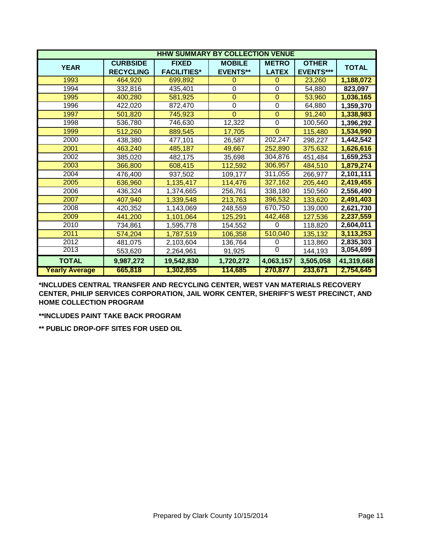|                       |                  | <b>HHW SUMMARY BY COLLECTION VENUE</b> |                 |                |                  |              |
|-----------------------|------------------|----------------------------------------|-----------------|----------------|------------------|--------------|
| <b>YEAR</b>           | <b>CURBSIDE</b>  | <b>FIXED</b>                           | <b>MOBILE</b>   | <b>METRO</b>   | <b>OTHER</b>     | <b>TOTAL</b> |
|                       | <b>RECYCLING</b> | <b>FACILITIES*</b>                     | <b>EVENTS**</b> | <b>LATEX</b>   | <b>EVENTS***</b> |              |
| 1993                  | 464,920          | 699,892                                | 0               | $\Omega$       | 23,260           | 1,188,072    |
| 1994                  | 332,816          | 435,401                                | 0               | $\mathbf 0$    | 54,880           | 823,097      |
| 1995                  | 400,280          | 581,925                                | $\mathbf 0$     | $\mathbf{0}$   | 53,960           | 1,036,165    |
| 1996                  | 422,020          | 872,470                                | $\overline{0}$  | $\overline{0}$ | 64,880           | 1,359,370    |
| 1997                  | 501,820          | 745,923                                | $\overline{0}$  | $\mathbf{0}$   | 91,240           | 1,338,983    |
| 1998                  | 536,780          | 746,630                                | 12,322          | $\mathbf 0$    | 100,560          | 1,396,292    |
| 1999                  | 512,260          | 889,545                                | 17,705          | $\mathbf{0}$   | 115,480          | 1,534,990    |
| 2000                  | 438,380          | 477,101                                | 26,587          | 202,247        | 298,227          | 1,442,542    |
| 2001                  | 463,240          | 485,187                                | 49,667          | 252,890        | 375,632          | 1,626,616    |
| 2002                  | 385,020          | 482,175                                | 35,698          | 304,876        | 451,484          | 1,659,253    |
| 2003                  | 366,800          | 608,415                                | 112,592         | 306,957        | 484,510          | 1,879,274    |
| 2004                  | 476,400          | 937,502                                | 109,177         | 311,055        | 266,977          | 2,101,111    |
| 2005                  | 636,960          | 1,135,417                              | 114,476         | 327,162        | 205,440          | 2,419,455    |
| 2006                  | 436,324          | 1,374,665                              | 256,761         | 338,180        | 150,560          | 2,556,490    |
| 2007                  | 407,940          | 1,339,548                              | 213,763         | 396,532        | 133,620          | 2,491,403    |
| 2008                  | 420,352          | 1,143,069                              | 248,559         | 670,750        | 139,000          | 2,621,730    |
| 2009                  | 441,200          | 1,101,064                              | 125,291         | 442,468        | 127,536          | 2,237,559    |
| 2010                  | 734,861          | 1,595,778                              | 154,552         | $\Omega$       | 118,820          | 2,604,011    |
| 2011                  | 574,204          | 1,787,519                              | 106,358         | 510,040        | 135,132          | 3,113,253    |
| 2012                  | 481,075          | 2,103,604                              | 136,764         | $\Omega$       | 113,860          | 2,835,303    |
| 2013                  | 553,620          | 2,264,961                              | 91,925          | $\overline{0}$ | 144,193          | 3,054,699    |
| <b>TOTAL</b>          | 9,987,272        | 19,542,830                             | 1,720,272       | 4,063,157      | 3,505,058        | 41,319,668   |
| <b>Yearly Average</b> | 665,818          | 1,302,855                              | 114,685         | 270,877        | 233,671          | 2,754,645    |

**\*INCLUDES CENTRAL TRANSFER AND RECYCLING CENTER, WEST VAN MATERIALS RECOVERY CENTER, PHILIP SERVICES CORPORATION, JAIL WORK CENTER, SHERIFF'S WEST PRECINCT, AND HOME COLLECTION PROGRAM**

**\*\*INCLUDES PAINT TAKE BACK PROGRAM**

**\*\* PUBLIC DROP-OFF SITES FOR USED OIL**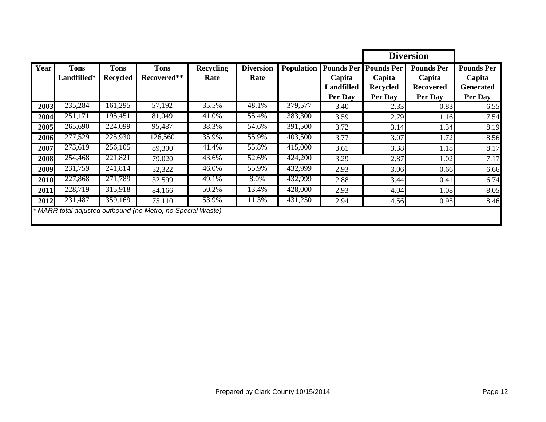|      |                            |                                |                                                             |                          |                          |                   |                                                             |                                                           | <b>Diversion</b>                                           |                                                            |
|------|----------------------------|--------------------------------|-------------------------------------------------------------|--------------------------|--------------------------|-------------------|-------------------------------------------------------------|-----------------------------------------------------------|------------------------------------------------------------|------------------------------------------------------------|
| Year | <b>Tons</b><br>Landfilled* | <b>Tons</b><br><b>Recycled</b> | <b>Tons</b><br>Recovered**                                  | <b>Recycling</b><br>Rate | <b>Diversion</b><br>Rate | <b>Population</b> | <b>Pounds Per</b><br>Capita<br><b>Landfilled</b><br>Per Day | <b>Pounds Per</b><br>Capita<br><b>Recycled</b><br>Per Day | <b>Pounds Per</b><br>Capita<br><b>Recovered</b><br>Per Day | <b>Pounds Per</b><br>Capita<br><b>Generated</b><br>Per Day |
| 2003 | 235,284                    | 161,295                        | 57,192                                                      | 35.5%                    | 48.1%                    | 379,577           | 3.40                                                        | 2.33                                                      | 0.83                                                       | 6.55                                                       |
| 2004 | 251,171                    | 195,451                        | 81,049                                                      | 41.0%                    | 55.4%                    | 383,300           | 3.59                                                        | 2.79                                                      | 1.16                                                       | 7.54                                                       |
| 2005 | 265,690                    | 224,099                        | 95,487                                                      | 38.3%                    | 54.6%                    | 391,500           | 3.72                                                        | 3.14                                                      | 1.34                                                       | 8.19                                                       |
| 2006 | 277,529                    | 225,930                        | 126,560                                                     | 35.9%                    | 55.9%                    | 403,500           | 3.77                                                        | 3.07                                                      | 1.72                                                       | 8.56                                                       |
| 2007 | 273,619                    | 256,105                        | 89,300                                                      | 41.4%                    | 55.8%                    | 415,000           | 3.61                                                        | 3.38                                                      | 1.18                                                       | 8.17                                                       |
| 2008 | 254,468                    | 221,821                        | 79,020                                                      | 43.6%                    | 52.6%                    | 424,200           | 3.29                                                        | 2.87                                                      | 1.02                                                       | 7.17                                                       |
| 2009 | 231,759                    | 241,814                        | 52,322                                                      | 46.0%                    | 55.9%                    | 432,999           | 2.93                                                        | 3.06                                                      | 0.66                                                       | 6.66                                                       |
| 2010 | 227,868                    | 271,789                        | 32,599                                                      | 49.1%                    | 8.0%                     | 432,999           | 2.88                                                        | 3.44                                                      | 0.41                                                       | 6.74                                                       |
| 2011 | 228,719                    | 315,918                        | 84,166                                                      | 50.2%                    | 13.4%                    | 428,000           | 2.93                                                        | 4.04                                                      | 1.08                                                       | 8.05                                                       |
| 2012 | 231,487                    | 359,169                        | 75,110                                                      | 53.9%                    | 11.3%                    | 431,250           | 2.94                                                        | 4.56                                                      | 0.95                                                       | 8.46                                                       |
|      |                            |                                | * MARR total adjusted outbound (no Metro, no Special Waste) |                          |                          |                   |                                                             |                                                           |                                                            |                                                            |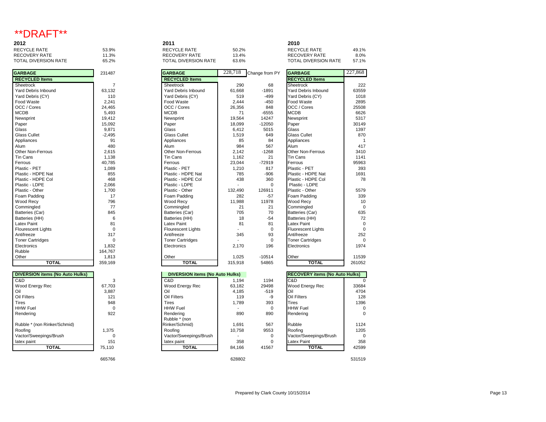## \*\*DRAFT\*\*

| 2012                 |       | 2011                 |       | 2010                 |       |
|----------------------|-------|----------------------|-------|----------------------|-------|
| RECYCLE RATE         | 53.9% | RECYCLE RATE         | 50.2% | <b>RECYCLE RATE</b>  | 49.1% |
| RECOVERY RATE        | 11.3% | RECOVERY RATE        | 13.4% | RECOVERY RATE        | 8.0%  |
| TOTAL DIVERSION RATE | 65.2% | TOTAL DIVERSION RATE | 63.6% | TOTAL DIVERSION RATE | 57.1% |
|                      |       |                      |       |                      |       |

| <b>GARBAGE</b>            | 231487         | <b>GARBAGE</b>            | 228,718 | Change from PY | <b>GARBAGE</b>         |
|---------------------------|----------------|---------------------------|---------|----------------|------------------------|
| <b>RECYCLED Items</b>     |                | <b>RECYCLED Items</b>     |         |                | <b>RECYCLED Ite</b>    |
| Sheetrock                 | $\overline{7}$ | Sheetrock                 | 290     | 68             | Sheetrock              |
| Yard Debris Inbound       | 63,132         | Yard Debris Inbound       | 61,668  | $-1891$        | <b>Yard Debris Int</b> |
| Yard Debris (CY)          | 110            | Yard Debris (CY)          | 519     | $-499$         | Yard Debris (C'        |
| Food Waste                | 2,241          | Food Waste                | 2,444   | $-450$         | Food Waste             |
| OCC / Cores               | 24,465         | OCC / Cores               | 26,356  | 848            | OCC / Cores            |
| <b>MCDB</b>               | 5,493          | <b>MCDB</b>               | 71      | $-6555$        | <b>MCDB</b>            |
| Newsprint                 | 19,412         | Newsprint                 | 19,564  | 14247          | Newsprint              |
| Paper                     | 15,092         | Paper                     | 18,099  | $-12050$       | Paper                  |
| Glass                     | 9,871          | Glass                     | 6,412   | 5015           | Glass                  |
| <b>Glass Cullet</b>       | $-2,495$       | <b>Glass Cullet</b>       | 1,519   | 649            | <b>Glass Cullet</b>    |
| Appliances                | 91             | Appliances                | 85      | 84             | Appliances             |
| Alum                      | 480            | Alum                      | 984     | 567            | Alum                   |
| Other Non-Ferrous         | 2,615          | Other Non-Ferrous         | 2,142   | $-1268$        | Other Non-Ferr         |
| Tin Cans                  | 1,138          | Tin Cans                  | 1,162   | 21             | <b>Tin Cans</b>        |
| Ferrous                   | 40,785         | Ferrous                   | 23,044  | $-72919$       | Ferrous                |
| Plastic - PET             | 1,089          | Plastic - PET             | 1,210   | 817            | Plastic - PET          |
| Plastic - HDPE Nat        | 855            | Plastic - HDPE Nat        | 785     | $-906$         | Plastic - HDPE         |
| Plastic - HDPE Col        | 468            | Plastic - HDPE Col        | 438     | 360            | Plastic - HDPE         |
| Plastic - LDPE            | 2,066          | Plastic - LDPE            |         | $\Omega$       | Plastic - LDPE         |
| Plastic - Other           | 1,700          | Plastic - Other           | 132,490 | 126911         | Plastic - Other        |
| Foam Padding              | 17             | Foam Padding              | 282     | $-57$          | Foam Padding           |
| Wood Recy                 | 796            | Wood Recy                 | 11,988  | 11978          | Wood Recy              |
| Commingled                | 77             | Commingled                | 21      | 21             | Commingled             |
| Batteries (Car)           | 845            | Batteries (Car)           | 705     | 70             | Batteries (Car)        |
| Batteries (HH)            | 6              | Batteries (HH)            | 18      | $-54$          | Batteries (HH)         |
| <b>Latex Paint</b>        | 81             | Latex Paint               | 81      | 81             | Latex Paint            |
| <b>Flourescent Lights</b> | $\Omega$       | <b>Flourescent Lights</b> |         | $\Omega$       | Fluorescent Lig        |
| Antifreeze                | 317            | Antifreeze                | 345     | 93             | Antifreeze             |
| <b>Toner Cartridges</b>   | $\Omega$       | <b>Toner Cartridges</b>   |         | $\mathbf 0$    | <b>Toner Cartridge</b> |
| Electronics               | 1,832          | Electronics               | 2.170   | 196            | Electronics            |
| Rubble                    | 164,767        |                           |         |                |                        |
| Other                     | 1,813          | Other                     | 1,025   | $-10514$       | Other                  |
| <b>TOTAL</b>              | 359,169        | <b>TOTAL</b>              | 315,918 | 54865          | TOT.                   |

| <b>OCC</b> / Cores                     | 26,35       |
|----------------------------------------|-------------|
| <b>MCDB</b>                            |             |
| Newsprint                              | 19,56       |
| Paper                                  | 18,09       |
| Glass                                  | 6,4         |
| <b>Glass Cullet</b>                    | 1,5'        |
| Appliances                             | ξ           |
| Alum                                   | 98          |
| <b>Other Non-Ferrous</b>               | 2,14        |
| <b>Tin Cans</b>                        | 1,16        |
| Ferrous                                | 23,04       |
| Plastic - PET                          | $1,2^{-}$   |
| Plastic - HDPE Nat                     | 78          |
| Plastic - HDPE Col                     | 4.          |
| Plastic - LDPE                         |             |
| Plastic - Other                        | 132.49      |
| Foam Padding                           | 2٤          |
| Wood Recy                              | 11,98       |
| Commingled                             |             |
| Batteries (Car)                        | 70          |
| Batteries (HH)                         |             |
| <b>Latex Paint</b>                     | ξ           |
| <b>Flourescent Lights</b>              |             |
| Antifreeze                             | 34          |
| <b>Toner Cartridges</b>                |             |
| Electronics                            | 2,1         |
| Other                                  | 1,02        |
| <b>TOTAL</b>                           | 315.9'      |
|                                        |             |
| <b>DIVERSION items (No Auto Hulks)</b> |             |
| C&D                                    | 1,19        |
| Wood Energy Rec                        | 63,18       |
| Oil                                    | 4,18        |
| Oil Filters                            | $1^{\circ}$ |
| Tires                                  | 1,78        |
| <b>HHW Fuel</b>                        |             |
| Rendering                              | 89          |
| Rubble * (non                          |             |
| Rinker/Schmid)                         | 1,69        |
| Roofing                                | 10,75       |
| Vactor/Sweepings/Brush                 |             |

| <b>GARBAGE</b>            | 231487         | <b>GARBAGE</b>             |         |                |                           |                |
|---------------------------|----------------|----------------------------|---------|----------------|---------------------------|----------------|
|                           |                |                            | 228,718 | Change from PY | <b>GARBAGE</b>            | 227,868        |
| <b>RECYCLED Items</b>     |                | <b>RECYCLED Items</b>      |         |                | <b>RECYCLED Items</b>     |                |
| Sheetrock                 | $\overline{7}$ | Sheetrock                  | 290     | 68             | Sheetrock                 | 222            |
| Yard Debris Inbound       | 63,132         | <b>Yard Debris Inbound</b> | 61.668  | $-1891$        | Yard Debris Inbound       | 63559          |
| Yard Debris (CY)          | 110            | Yard Debris (CY)           | 519     | $-499$         | Yard Debris (CY)          | 1018           |
| Food Waste                | 2,241          | Food Waste                 | 2,444   | $-450$         | Food Waste                | 2895           |
| OCC / Cores               | 24,465         | OCC / Cores                | 26,356  | 848            | OCC / Cores               | 25508          |
| <b>MCDB</b>               | 5,493          | <b>MCDB</b>                | 71      | $-6555$        | <b>MCDB</b>               | 6626           |
| Newsprint                 | 19,412         | Newsprint                  | 19,564  | 14247          | Newsprint                 | 5317           |
| Paper                     | 15,092         | Paper                      | 18,099  | $-12050$       | Paper                     | 30149          |
| Glass                     | 9,871          | Glass                      | 6,412   | 5015           | Glass                     | 1397           |
| <b>Glass Cullet</b>       | $-2.495$       | <b>Glass Cullet</b>        | 1,519   | 649            | <b>Glass Cullet</b>       | 870            |
| Appliances                | 91             | Appliances                 | 85      | 84             | Appliances                |                |
| Alum                      | 480            | Alum                       | 984     | 567            | Alum                      | 417            |
| Other Non-Ferrous         | 2,615          | Other Non-Ferrous          | 2,142   | $-1268$        | Other Non-Ferrous         | 3410           |
| Tin Cans                  | 1,138          | Tin Cans                   | 1,162   | 21             | <b>Tin Cans</b>           | 1141           |
| Ferrous                   | 40.785         | Ferrous                    | 23,044  | $-72919$       | Ferrous                   | 95963          |
| Plastic - PET             | 1.089          | Plastic - PET              | 1,210   | 817            | Plastic - PET             | 393            |
| Plastic - HDPE Nat        | 855            | Plastic - HDPE Nat         | 785     | $-906$         | Plastic - HDPE Nat        | 1691           |
| Plastic - HDPE Col        | 468            | Plastic - HDPE Col         | 438     | 360            | Plastic - HDPE Col        | 78             |
| Plastic - LDPE            | 2,066          | Plastic - LDPE             |         | $\Omega$       | Plastic - LDPE            |                |
| Plastic - Other           | 1,700          | Plastic - Other            | 132,490 | 126911         | Plastic - Other           | 5579           |
| Foam Padding              | 17             | Foam Padding               | 282     | $-57$          | Foam Padding              | 339            |
| Wood Recy                 | 796            | Wood Recy                  | 11,988  | 11978          | Wood Recy                 | 1 <sup>1</sup> |
| Commingled                | 77             | Commingled                 | 21      | 21             | Commingled                |                |
| Batteries (Car)           | 845            | Batteries (Car)            | 705     | 70             | Batteries (Car)           | 635            |
| Batteries (HH)            | 6              | Batteries (HH)             | 18      | $-54$          | Batteries (HH)            | 72             |
| <b>Latex Paint</b>        | 81             | Latex Paint                | 81      | 81             | <b>Latex Paint</b>        |                |
| <b>Flourescent Lights</b> | $\Omega$       | <b>Flourescent Lights</b>  |         | $\Omega$       | <b>Fluorescent Lights</b> |                |
| Antifreeze                | 317            | Antifreeze                 | 345     | 93             | Antifreeze                | 252            |
| <b>Toner Cartridges</b>   | $\Omega$       | <b>Toner Cartridges</b>    |         | $\Omega$       | <b>Toner Cartridges</b>   |                |
| Electronics               | 1,832          | Electronics                | 2,170   | 196            | Electronics               | 1974           |
| Rubble                    | 164,767        |                            |         |                |                           |                |
| Other                     | 1,813          | Other                      | 1,025   | $-10514$       | Other                     | 11539          |
| <b>TOTAL</b>              | 359,169        | <b>TOTAL</b>               | 315,918 | 54865          | <b>TOTAL</b>              | 261052         |

| <b>DIVERSION items (No Auto Hulks)</b> |        | DIVERSION items (No Auto Hulks) |        |        | <b>RECOVERY items (No Auto Hulks)</b> |        |
|----------------------------------------|--------|---------------------------------|--------|--------|---------------------------------------|--------|
| C&D                                    | 3      | C&D                             | 1.194  | 1194   | C&D                                   |        |
| Wood Energy Rec                        | 67.703 | Wood Energy Rec                 | 63.182 | 29498  | Wood Energy Rec                       | 33684  |
| Oil                                    | 3,887  | Oil                             | 4,185  | $-519$ | Oil                                   | 4704   |
| Oil Filters                            | 121    | Oil Filters                     | 119    | -9     | Oil Filters                           | 128    |
| <b>Tires</b>                           | 948    | <b>Tires</b>                    | 1.789  | 393    | <b>Tires</b>                          | 1396   |
| <b>HHW Fuel</b>                        | 0      | <b>HHW Fuel</b>                 |        |        | <b>HHW Fuel</b>                       | 0      |
| Rendering                              | 922    | Rendering                       | 890    | 890    | Rendering                             | 0      |
|                                        |        | Rubble * (non                   |        |        |                                       |        |
| Rubble * (non Rinker/Schmid)           |        | Rinker/Schmid)                  | 1,691  | 567    | <b>Rubble</b>                         | 1124   |
| Roofing                                | 1.375  | Roofing                         | 10.758 | 9553   | Roofina                               | 1205   |
| Vactor/Sweepings/Brush                 |        | Vactor/Sweepings/Brush          |        |        | Vactor/Sweepings/Brush                | 0      |
| latex paint                            | 151    | latex paint                     | 358    |        | Latex Paint                           | 358    |
| <b>TOTAL</b>                           | 75,110 | <b>TOTAL</b>                    | 84.166 | 41567  | <b>TOTAL</b>                          | 42599  |
|                                        | 665766 |                                 | 628802 |        |                                       | 531519 |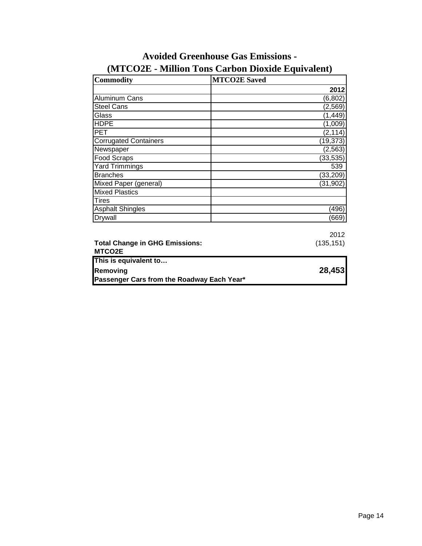| <b>Commodity</b>                                | <b>MTCO2E Saved</b> |
|-------------------------------------------------|---------------------|
|                                                 | 2012                |
| Aluminum Cans                                   | (6, 802)            |
| <b>Steel Cans</b>                               | (2,569)             |
| Glass                                           | (1,449)             |
| <b>HDPE</b>                                     | (1,009)             |
| <b>PET</b>                                      | (2, 114)            |
| <b>Corrugated Containers</b>                    | (19, 373)           |
| Newspaper                                       | (2, 563)            |
| Food Scraps                                     | (33, 535)           |
| <b>Yard Trimmings</b>                           | 539                 |
| <b>Branches</b>                                 | (33, 209)           |
| Mixed Paper (general)                           | (31, 902)           |
| <b>Mixed Plastics</b>                           |                     |
| <b>Tires</b>                                    |                     |
| <b>Asphalt Shingles</b>                         | (496)               |
| Drywall                                         | (669)               |
|                                                 |                     |
|                                                 | 2012                |
| <b>Total Change in GHG Emissions:</b><br>MTCO2E | (135, 151)          |
| This is equivalent to                           |                     |
| Removing                                        | 28,453              |
| Passenger Cars from the Roadway Each Year*      |                     |

# **(MTCO2E - Million Tons Carbon Dioxide Equivalent) Avoided Greenhouse Gas Emissions -**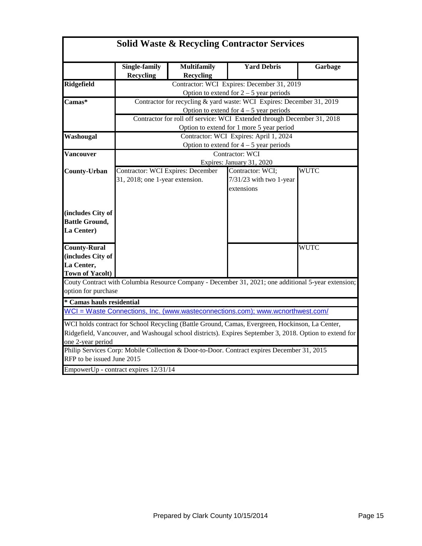|                            | <b>Solid Waste &amp; Recycling Contractor Services</b>                |                    |                                                                                                         |             |  |  |  |
|----------------------------|-----------------------------------------------------------------------|--------------------|---------------------------------------------------------------------------------------------------------|-------------|--|--|--|
|                            | Single-family                                                         | <b>Multifamily</b> | <b>Yard Debris</b>                                                                                      | Garbage     |  |  |  |
|                            | Recycling                                                             | <b>Recycling</b>   |                                                                                                         |             |  |  |  |
| Ridgefield                 | Contractor: WCI Expires: December 31, 2019                            |                    |                                                                                                         |             |  |  |  |
|                            |                                                                       |                    | Option to extend for $2 - 5$ year periods                                                               |             |  |  |  |
| Camas*                     | Contractor for recycling & yard waste: WCI Expires: December 31, 2019 |                    |                                                                                                         |             |  |  |  |
|                            |                                                                       |                    | Option to extend for $4 - 5$ year periods                                                               |             |  |  |  |
|                            |                                                                       |                    | Contractor for roll off service: WCI Extended through December 31, 2018                                 |             |  |  |  |
|                            |                                                                       |                    | Option to extend for 1 more 5 year period                                                               |             |  |  |  |
| Washougal                  |                                                                       |                    | Contractor: WCI Expires: April 1, 2024                                                                  |             |  |  |  |
|                            |                                                                       |                    | Option to extend for $4 - 5$ year periods                                                               |             |  |  |  |
| <b>Vancouver</b>           |                                                                       |                    | Contractor: WCI                                                                                         |             |  |  |  |
|                            |                                                                       |                    | Expires: January 31, 2020                                                                               |             |  |  |  |
| <b>County-Urban</b>        | <b>Contractor: WCI Expires: December</b>                              |                    | Contractor: WCI;                                                                                        | <b>WUTC</b> |  |  |  |
|                            | 31, 2018; one 1-year extension.                                       |                    | 7/31/23 with two 1-year                                                                                 |             |  |  |  |
|                            |                                                                       |                    | extensions                                                                                              |             |  |  |  |
|                            |                                                                       |                    |                                                                                                         |             |  |  |  |
|                            |                                                                       |                    |                                                                                                         |             |  |  |  |
| (includes City of          |                                                                       |                    |                                                                                                         |             |  |  |  |
| <b>Battle Ground,</b>      |                                                                       |                    |                                                                                                         |             |  |  |  |
| La Center)                 |                                                                       |                    |                                                                                                         |             |  |  |  |
|                            |                                                                       |                    |                                                                                                         |             |  |  |  |
| <b>County-Rural</b>        |                                                                       |                    |                                                                                                         | <b>WUTC</b> |  |  |  |
| (includes City of          |                                                                       |                    |                                                                                                         |             |  |  |  |
| La Center,                 |                                                                       |                    |                                                                                                         |             |  |  |  |
| <b>Town of Yacolt)</b>     |                                                                       |                    |                                                                                                         |             |  |  |  |
|                            |                                                                       |                    | Couty Contract with Columbia Resource Company - December 31, 2021; one additional 5-year extension;     |             |  |  |  |
| option for purchase        |                                                                       |                    |                                                                                                         |             |  |  |  |
| * Camas hauls residential  |                                                                       |                    |                                                                                                         |             |  |  |  |
|                            |                                                                       |                    | WCI = Waste Connections, Inc. (www.wasteconnections.com); www.wcnorthwest.com/                          |             |  |  |  |
|                            |                                                                       |                    | WCI holds contract for School Recycling (Battle Ground, Camas, Evergreen, Hockinson, La Center,         |             |  |  |  |
|                            |                                                                       |                    | Ridgefield, Vancouver, and Washougal school districts). Expires September 3, 2018. Option to extend for |             |  |  |  |
| one 2-year period          |                                                                       |                    |                                                                                                         |             |  |  |  |
|                            |                                                                       |                    | Philip Services Corp: Mobile Collection & Door-to-Door. Contract expires December 31, 2015              |             |  |  |  |
| RFP to be issued June 2015 |                                                                       |                    |                                                                                                         |             |  |  |  |
|                            | EmpowerUp - contract expires 12/31/14                                 |                    |                                                                                                         |             |  |  |  |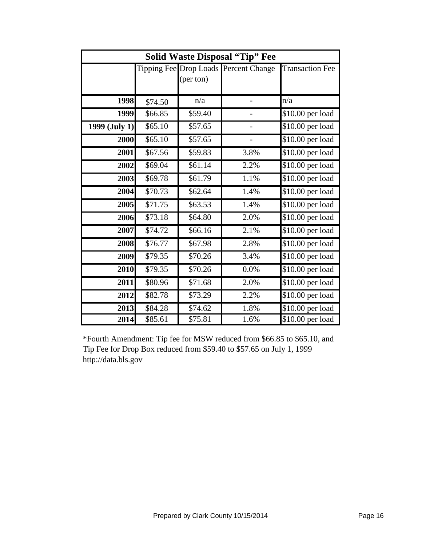| <b>Solid Waste Disposal "Tip" Fee</b> |         |           |                                       |                              |  |  |
|---------------------------------------|---------|-----------|---------------------------------------|------------------------------|--|--|
|                                       |         |           | Tipping Fee Drop Loads Percent Change | <b>Transaction Fee</b>       |  |  |
|                                       |         | (per ton) |                                       |                              |  |  |
|                                       |         |           |                                       |                              |  |  |
| 1998                                  | \$74.50 | n/a       |                                       | n/a                          |  |  |
| 1999                                  | \$66.85 | \$59.40   |                                       | \$10.00 per load             |  |  |
| 1999 (July 1)                         | \$65.10 | \$57.65   |                                       | \$10.00 per load             |  |  |
| 2000                                  | \$65.10 | \$57.65   |                                       | \$10.00 per load             |  |  |
| 2001                                  | \$67.56 | \$59.83   | 3.8%                                  | \$10.00 per load             |  |  |
| 2002                                  | \$69.04 | \$61.14   | 2.2%                                  | \$10.00 per load             |  |  |
| 2003                                  | \$69.78 | \$61.79   | 1.1%                                  | \$10.00 per load             |  |  |
| 2004                                  | \$70.73 | \$62.64   | 1.4%                                  | \$10.00 per load             |  |  |
| 2005                                  | \$71.75 | \$63.53   | 1.4%                                  | \$10.00 per load             |  |  |
| 2006                                  | \$73.18 | \$64.80   | 2.0%                                  | \$10.00 per load             |  |  |
| 2007                                  | \$74.72 | \$66.16   | 2.1%                                  | \$10.00 per load             |  |  |
| 2008                                  | \$76.77 | \$67.98   | 2.8%                                  | \$10.00 per load             |  |  |
| 2009                                  | \$79.35 | \$70.26   | 3.4%                                  | \$10.00 per load             |  |  |
| 2010                                  | \$79.35 | \$70.26   | 0.0%                                  | $\overline{$}10.00$ per load |  |  |
| 2011                                  | \$80.96 | \$71.68   | 2.0%                                  | \$10.00 per load             |  |  |
| 2012                                  | \$82.78 | \$73.29   | 2.2%                                  | \$10.00 per load             |  |  |
| 2013                                  | \$84.28 | \$74.62   | 1.8%                                  | \$10.00 per load             |  |  |
| 2014                                  | \$85.61 | \$75.81   | 1.6%                                  | \$10.00 per load             |  |  |

\*Fourth Amendment: Tip fee for MSW reduced from \$66.85 to \$65.10, and Tip Fee for Drop Box reduced from \$59.40 to \$57.65 on July 1, 1999 http://data.bls.gov